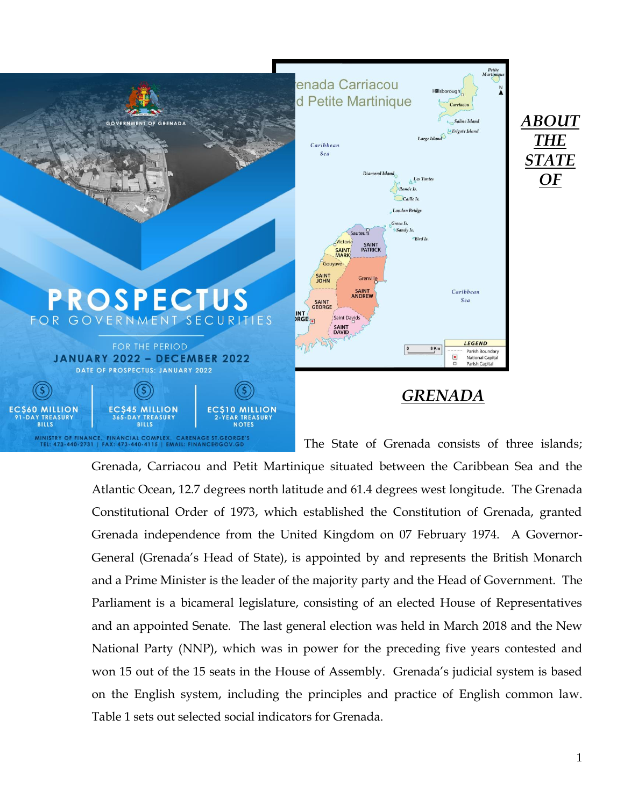

Grenada, Carriacou and Petit Martinique situated between the Caribbean Sea and the Atlantic Ocean, 12.7 degrees north latitude and 61.4 degrees west longitude. The Grenada Constitutional Order of 1973, which established the Constitution of Grenada, granted Grenada independence from the United Kingdom on 07 February 1974. A Governor-General (Grenada's Head of State), is appointed by and represents the British Monarch and a Prime Minister is the leader of the majority party and the Head of Government. The Parliament is a bicameral legislature, consisting of an elected House of Representatives and an appointed Senate. The last general election was held in March 2018 and the New National Party (NNP), which was in power for the preceding five years contested and won 15 out of the 15 seats in the House of Assembly. Grenada's judicial system is based on the English system, including the principles and practice of English common law. Table 1 sets out selected social indicators for Grenada.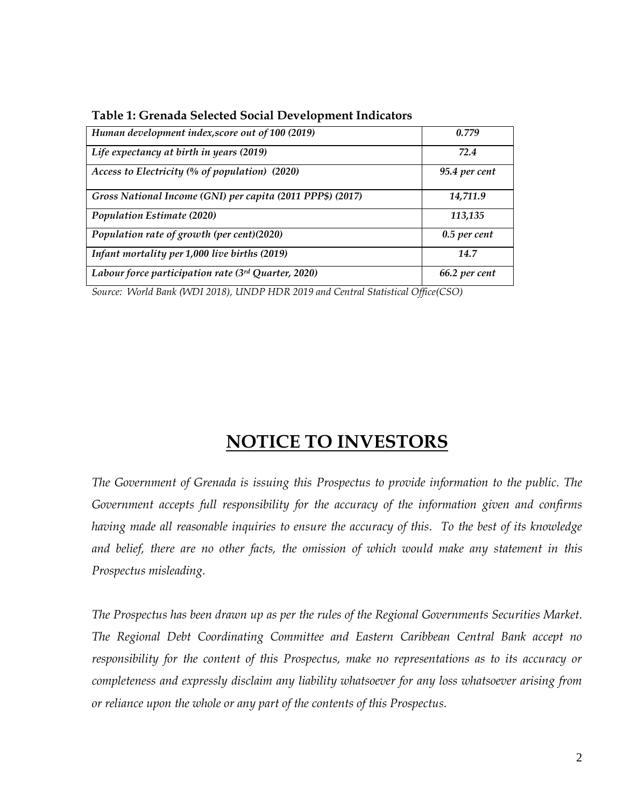| Human development index, score out of 100 (2019)           | 0.779          |
|------------------------------------------------------------|----------------|
| Life expectancy at birth in years (2019)                   | 72.4           |
| Access to Electricity (% of population) (2020)             | 95.4 per cent  |
| Gross National Income (GNI) per capita (2011 PPP\$) (2017) | 14,711.9       |
| <b>Population Estimate (2020)</b>                          | 113,135        |
| Population rate of growth (per cent)(2020)                 | $0.5$ per cent |
| Infant mortality per 1,000 live births (2019)              | 14.7           |
| Labour force participation rate (3rd Quarter, 2020)        | 66.2 per cent  |

**Table 1: Grenada Selected Social Development Indicators**

*Source: World Bank (WDI 2018), UNDP HDR 2019 and Central Statistical Office(CSO)*

# **NOTICE TO INVESTORS**

*The Government of Grenada is issuing this Prospectus to provide information to the public. The Government accepts full responsibility for the accuracy of the information given and confirms having made all reasonable inquiries to ensure the accuracy of this. To the best of its knowledge and belief, there are no other facts, the omission of which would make any statement in this Prospectus misleading.*

*The Prospectus has been drawn up as per the rules of the Regional Governments Securities Market. The Regional Debt Coordinating Committee and Eastern Caribbean Central Bank accept no responsibility for the content of this Prospectus, make no representations as to its accuracy or completeness and expressly disclaim any liability whatsoever for any loss whatsoever arising from or reliance upon the whole or any part of the contents of this Prospectus.*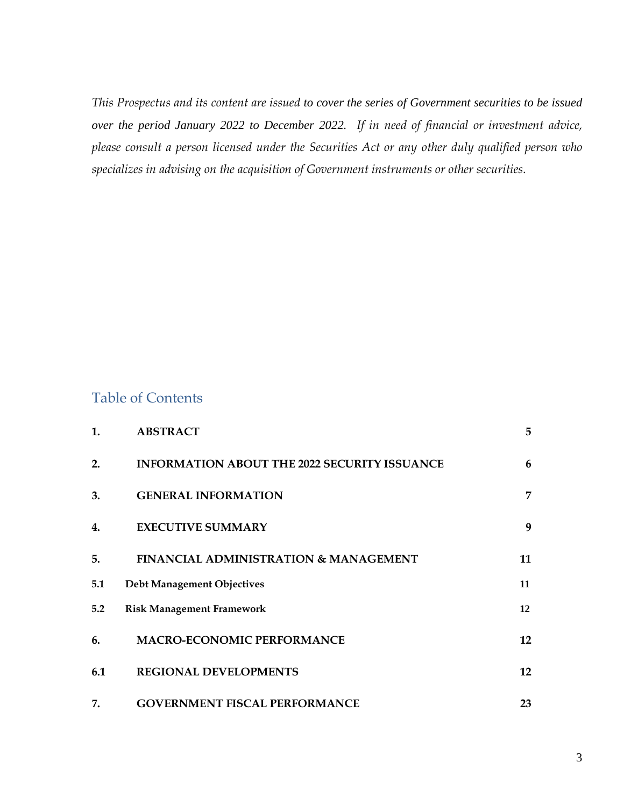*This Prospectus and its content are issued to cover the series of Government securities to be issued over the period January 2022 to December 2022. If in need of financial or investment advice, please consult a person licensed under the Securities Act or any other duly qualified person who specializes in advising on the acquisition of Government instruments or other securities.*

# Table of Contents

| 1.  | <b>ABSTRACT</b>                                     | 5  |
|-----|-----------------------------------------------------|----|
| 2.  | <b>INFORMATION ABOUT THE 2022 SECURITY ISSUANCE</b> | 6  |
| 3.  | <b>GENERAL INFORMATION</b>                          | 7  |
| 4.  | <b>EXECUTIVE SUMMARY</b>                            | 9  |
| 5.  | <b>FINANCIAL ADMINISTRATION &amp; MANAGEMENT</b>    | 11 |
| 5.1 | Debt Management Objectives                          | 11 |
| 5.2 | <b>Risk Management Framework</b>                    | 12 |
| 6.  | <b>MACRO-ECONOMIC PERFORMANCE</b>                   | 12 |
| 6.1 | <b>REGIONAL DEVELOPMENTS</b>                        | 12 |
| 7.  | <b>GOVERNMENT FISCAL PERFORMANCE</b>                | 23 |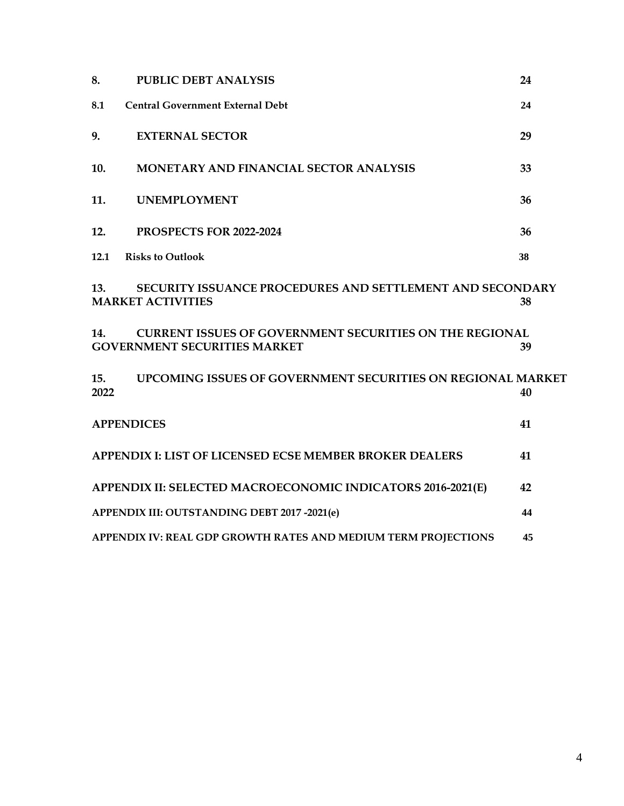| 8.          | <b>PUBLIC DEBT ANALYSIS</b>                                                                           | 24 |
|-------------|-------------------------------------------------------------------------------------------------------|----|
| 8.1         | <b>Central Government External Debt</b>                                                               | 24 |
| 9.          | <b>EXTERNAL SECTOR</b>                                                                                | 29 |
| 10.         | <b>MONETARY AND FINANCIAL SECTOR ANALYSIS</b>                                                         | 33 |
| 11.         | <b>UNEMPLOYMENT</b>                                                                                   | 36 |
| 12.         | PROSPECTS FOR 2022-2024                                                                               | 36 |
| 12.1        | <b>Risks to Outlook</b>                                                                               | 38 |
| 13.         | <b>SECURITY ISSUANCE PROCEDURES AND SETTLEMENT AND SECONDARY</b><br><b>MARKET ACTIVITIES</b>          | 38 |
| 14.         | <b>CURRENT ISSUES OF GOVERNMENT SECURITIES ON THE REGIONAL</b><br><b>GOVERNMENT SECURITIES MARKET</b> | 39 |
| 15.<br>2022 | UPCOMING ISSUES OF GOVERNMENT SECURITIES ON REGIONAL MARKET                                           | 40 |
|             | <b>APPENDICES</b>                                                                                     | 41 |
|             | <b>APPENDIX I: LIST OF LICENSED ECSE MEMBER BROKER DEALERS</b>                                        | 41 |
|             | APPENDIX II: SELECTED MACROECONOMIC INDICATORS 2016-2021(E)                                           | 42 |
|             | APPENDIX III: OUTSTANDING DEBT 2017 -2021(e)                                                          | 44 |
|             | APPENDIX IV: REAL GDP GROWTH RATES AND MEDIUM TERM PROJECTIONS                                        | 45 |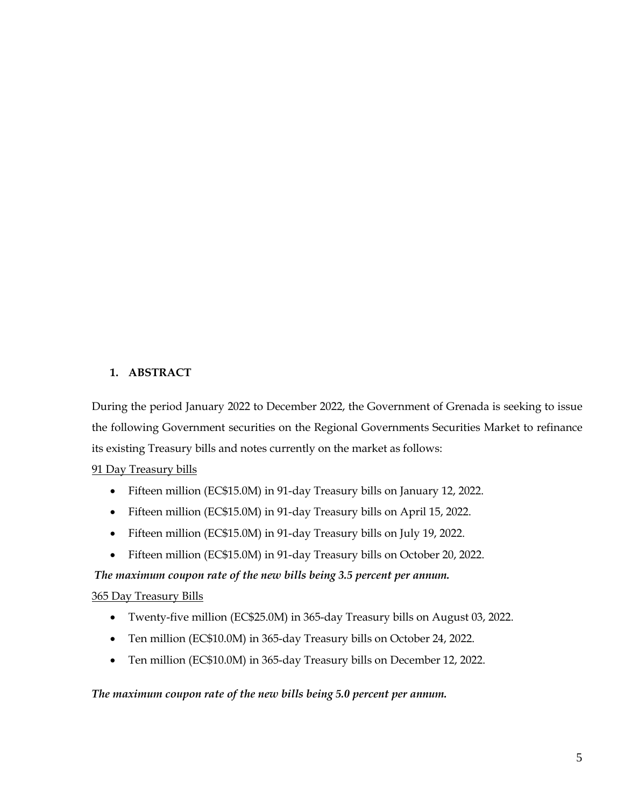# <span id="page-4-0"></span>**1. ABSTRACT**

During the period January 2022 to December 2022, the Government of Grenada is seeking to issue the following Government securities on the Regional Governments Securities Market to refinance its existing Treasury bills and notes currently on the market as follows:

# 91 Day Treasury bills

- Fifteen million (EC\$15.0M) in 91-day Treasury bills on January 12, 2022.
- Fifteen million (EC\$15.0M) in 91-day Treasury bills on April 15, 2022.
- Fifteen million (EC\$15.0M) in 91-day Treasury bills on July 19, 2022.
- Fifteen million (EC\$15.0M) in 91-day Treasury bills on October 20, 2022.

*The maximum coupon rate of the new bills being 3.5 percent per annum.*

# 365 Day Treasury Bills

- Twenty-five million (EC\$25.0M) in 365-day Treasury bills on August 03, 2022.
- Ten million (EC\$10.0M) in 365-day Treasury bills on October 24, 2022.
- Ten million (EC\$10.0M) in 365-day Treasury bills on December 12, 2022.

# *The maximum coupon rate of the new bills being 5.0 percent per annum.*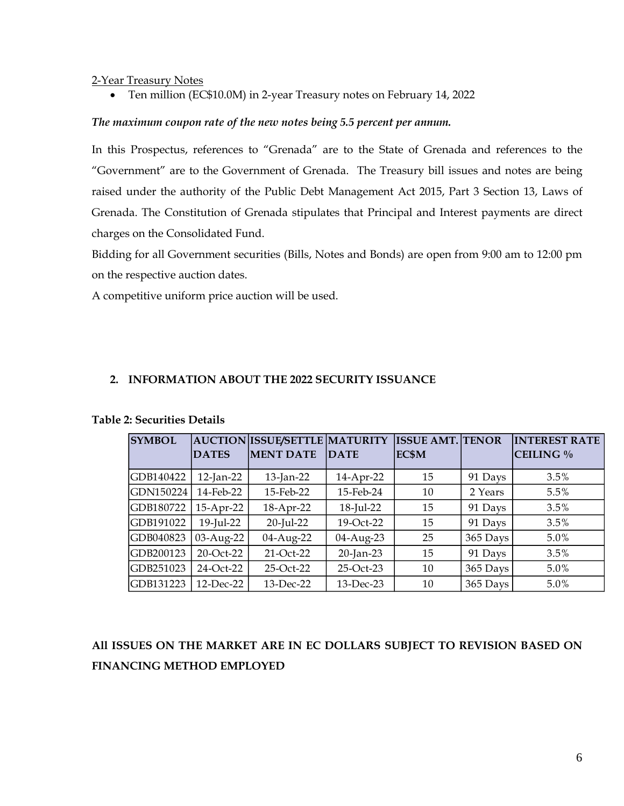#### 2-Year Treasury Notes

• Ten million (EC\$10.0M) in 2-year Treasury notes on February 14, 2022

## *The maximum coupon rate of the new notes being 5.5 percent per annum.*

In this Prospectus, references to "Grenada" are to the State of Grenada and references to the "Government" are to the Government of Grenada. The Treasury bill issues and notes are being raised under the authority of the Public Debt Management Act 2015, Part 3 Section 13, Laws of Grenada. The Constitution of Grenada stipulates that Principal and Interest payments are direct charges on the Consolidated Fund.

Bidding for all Government securities (Bills, Notes and Bonds) are open from 9:00 am to 12:00 pm on the respective auction dates.

A competitive uniform price auction will be used.

# <span id="page-5-0"></span>**2. INFORMATION ABOUT THE 2022 SECURITY ISSUANCE**

| <b>SYMBOL</b> |              | <b>AUCTION ISSUE/SETTLE MATURITY</b> |              | <b>ISSUE AMT. TENOR</b> |          | <b>INTEREST RATE</b> |
|---------------|--------------|--------------------------------------|--------------|-------------------------|----------|----------------------|
|               | <b>DATES</b> | <b>MENT DATE</b>                     | <b>DATE</b>  | EC\$M                   |          | CEILING %            |
| GDB140422     | $12$ -Jan-22 | 13-Jan-22                            | 14-Apr-22    | 15                      | 91 Days  | 3.5%                 |
| GDN150224     | 14-Feb-22    | 15-Feb-22                            | 15-Feb-24    | 10                      | 2 Years  | 5.5%                 |
| GDB180722     | 15-Apr-22    | 18-Apr-22                            | 18-Jul-22    | 15                      | 91 Days  | 3.5%                 |
| GDB191022     | 19-Jul-22    | 20-Jul-22                            | 19-Oct-22    | 15                      | 91 Days  | 3.5%                 |
| GDB040823     | 03-Aug-22    | 04-Aug-22                            | 04-Aug-23    | 25                      | 365 Days | 5.0%                 |
| GDB200123     | 20-Oct-22    | 21-Oct-22                            | 20-Jan-23    | 15                      | 91 Days  | 3.5%                 |
| GDB251023     | 24-Oct-22    | 25-Oct-22                            | 25-Oct-23    | 10                      | 365 Days | 5.0%                 |
| GDB131223     | $12$ -Dec-22 | 13-Dec-22                            | $13$ -Dec-23 | 10                      | 365 Days | $5.0\%$              |

# **Table 2: Securities Details**

**All ISSUES ON THE MARKET ARE IN EC DOLLARS SUBJECT TO REVISION BASED ON FINANCING METHOD EMPLOYED**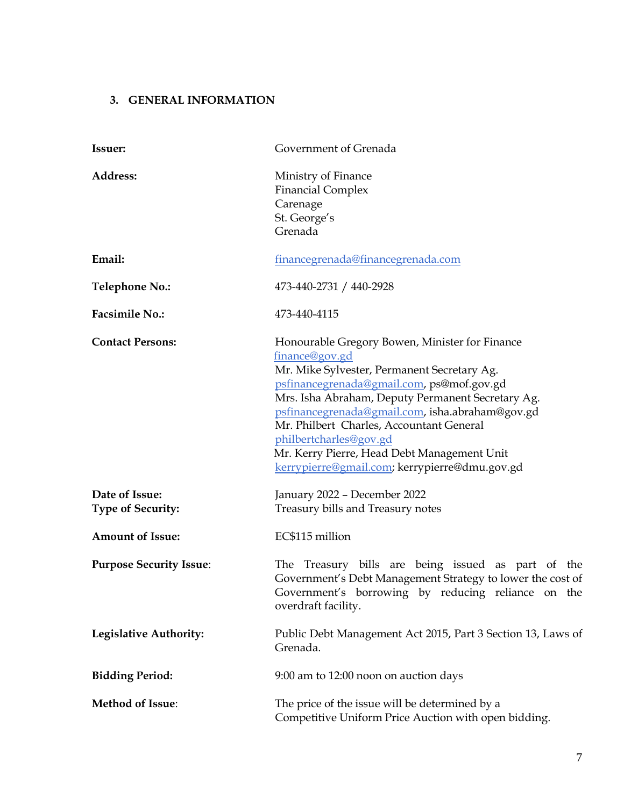# <span id="page-6-0"></span>**3. GENERAL INFORMATION**

| Issuer:                                    | Government of Grenada                                                                                                                                                                                                                                                                                                                                                                                                                      |
|--------------------------------------------|--------------------------------------------------------------------------------------------------------------------------------------------------------------------------------------------------------------------------------------------------------------------------------------------------------------------------------------------------------------------------------------------------------------------------------------------|
| Address:                                   | Ministry of Finance<br><b>Financial Complex</b><br>Carenage<br>St. George's<br>Grenada                                                                                                                                                                                                                                                                                                                                                     |
| Email:                                     | financegrenada@financegrenada.com                                                                                                                                                                                                                                                                                                                                                                                                          |
| <b>Telephone No.:</b>                      | 473-440-2731 / 440-2928                                                                                                                                                                                                                                                                                                                                                                                                                    |
| <b>Facsimile No.:</b>                      | 473-440-4115                                                                                                                                                                                                                                                                                                                                                                                                                               |
| <b>Contact Persons:</b>                    | Honourable Gregory Bowen, Minister for Finance<br>finance@gov.gd<br>Mr. Mike Sylvester, Permanent Secretary Ag.<br>psfinancegrenada@gmail.com, ps@mof.gov.gd<br>Mrs. Isha Abraham, Deputy Permanent Secretary Ag.<br>psfinancegrenada@gmail.com, isha.abraham@gov.gd<br>Mr. Philbert Charles, Accountant General<br>philbertcharles@gov.gd<br>Mr. Kerry Pierre, Head Debt Management Unit<br>kerrypierre@gmail.com; kerrypierre@dmu.gov.gd |
| Date of Issue:<br><b>Type of Security:</b> | January 2022 - December 2022<br>Treasury bills and Treasury notes                                                                                                                                                                                                                                                                                                                                                                          |
| <b>Amount of Issue:</b>                    | EC\$115 million                                                                                                                                                                                                                                                                                                                                                                                                                            |
| <b>Purpose Security Issue:</b>             | The Treasury bills are being issued as part of the<br>Government's Debt Management Strategy to lower the cost of<br>Government's borrowing by reducing reliance on the<br>overdraft facility.                                                                                                                                                                                                                                              |
| <b>Legislative Authority:</b>              | Public Debt Management Act 2015, Part 3 Section 13, Laws of<br>Grenada.                                                                                                                                                                                                                                                                                                                                                                    |
| <b>Bidding Period:</b>                     | 9:00 am to 12:00 noon on auction days                                                                                                                                                                                                                                                                                                                                                                                                      |
| Method of Issue:                           | The price of the issue will be determined by a<br>Competitive Uniform Price Auction with open bidding.                                                                                                                                                                                                                                                                                                                                     |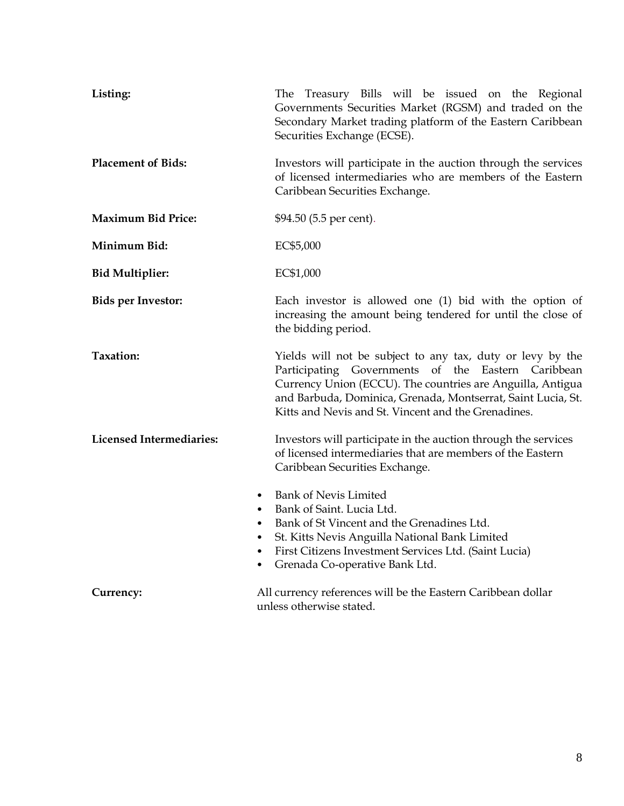| Listing:                                                                   | The Treasury Bills will be issued on the Regional<br>Governments Securities Market (RGSM) and traded on the<br>Secondary Market trading platform of the Eastern Caribbean<br>Securities Exchange (ECSE).                                                                                              |  |  |  |  |  |  |  |
|----------------------------------------------------------------------------|-------------------------------------------------------------------------------------------------------------------------------------------------------------------------------------------------------------------------------------------------------------------------------------------------------|--|--|--|--|--|--|--|
| <b>Placement of Bids:</b>                                                  | Investors will participate in the auction through the services<br>of licensed intermediaries who are members of the Eastern<br>Caribbean Securities Exchange.                                                                                                                                         |  |  |  |  |  |  |  |
| <b>Maximum Bid Price:</b>                                                  | \$94.50 (5.5 per cent).                                                                                                                                                                                                                                                                               |  |  |  |  |  |  |  |
| Minimum Bid:                                                               | EC\$5,000                                                                                                                                                                                                                                                                                             |  |  |  |  |  |  |  |
| <b>Bid Multiplier:</b>                                                     | EC\$1,000                                                                                                                                                                                                                                                                                             |  |  |  |  |  |  |  |
| <b>Bids per Investor:</b>                                                  | Each investor is allowed one $(1)$ bid with the option of<br>increasing the amount being tendered for until the close of<br>the bidding period.                                                                                                                                                       |  |  |  |  |  |  |  |
| Taxation:                                                                  | Yields will not be subject to any tax, duty or levy by the<br>Participating Governments of the Eastern Caribbean<br>Currency Union (ECCU). The countries are Anguilla, Antigua<br>and Barbuda, Dominica, Grenada, Montserrat, Saint Lucia, St.<br>Kitts and Nevis and St. Vincent and the Grenadines. |  |  |  |  |  |  |  |
| <b>Licensed Intermediaries:</b>                                            | Investors will participate in the auction through the services<br>of licensed intermediaries that are members of the Eastern<br>Caribbean Securities Exchange.                                                                                                                                        |  |  |  |  |  |  |  |
| $\bullet$<br>$\bullet$<br>$\bullet$<br>$\bullet$<br>$\bullet$<br>$\bullet$ | <b>Bank of Nevis Limited</b><br>Bank of Saint. Lucia Ltd.<br>Bank of St Vincent and the Grenadines Ltd.<br>St. Kitts Nevis Anguilla National Bank Limited<br>First Citizens Investment Services Ltd. (Saint Lucia)<br>Grenada Co-operative Bank Ltd.                                                  |  |  |  |  |  |  |  |
| Currency:                                                                  | All currency references will be the Eastern Caribbean dollar<br>unless otherwise stated.                                                                                                                                                                                                              |  |  |  |  |  |  |  |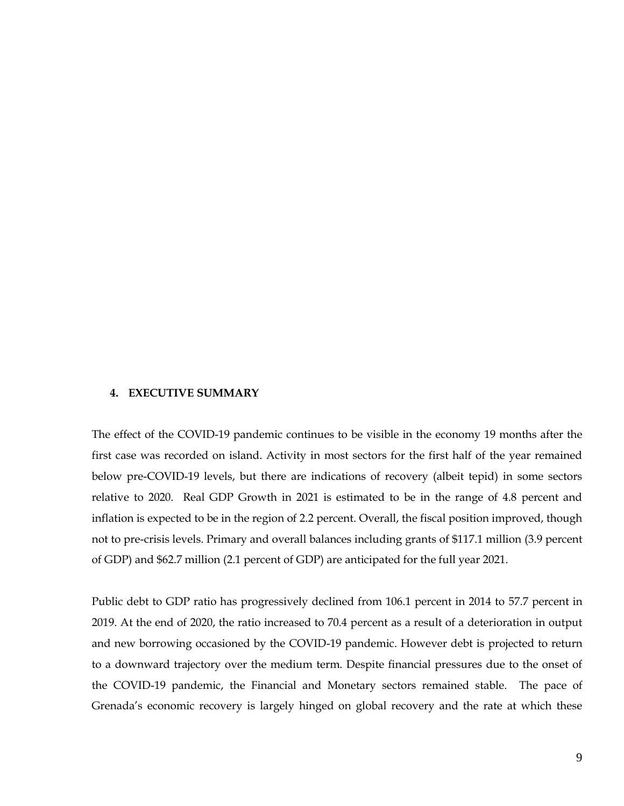#### <span id="page-8-0"></span>**4. EXECUTIVE SUMMARY**

The effect of the COVID-19 pandemic continues to be visible in the economy 19 months after the first case was recorded on island. Activity in most sectors for the first half of the year remained below pre-COVID-19 levels, but there are indications of recovery (albeit tepid) in some sectors relative to 2020. Real GDP Growth in 2021 is estimated to be in the range of 4.8 percent and inflation is expected to be in the region of 2.2 percent. Overall, the fiscal position improved, though not to pre-crisis levels. Primary and overall balances including grants of \$117.1 million (3.9 percent of GDP) and \$62.7 million (2.1 percent of GDP) are anticipated for the full year 2021.

Public debt to GDP ratio has progressively declined from 106.1 percent in 2014 to 57.7 percent in 2019. At the end of 2020, the ratio increased to 70.4 percent as a result of a deterioration in output and new borrowing occasioned by the COVID-19 pandemic. However debt is projected to return to a downward trajectory over the medium term. Despite financial pressures due to the onset of the COVID-19 pandemic, the Financial and Monetary sectors remained stable. The pace of Grenada's economic recovery is largely hinged on global recovery and the rate at which these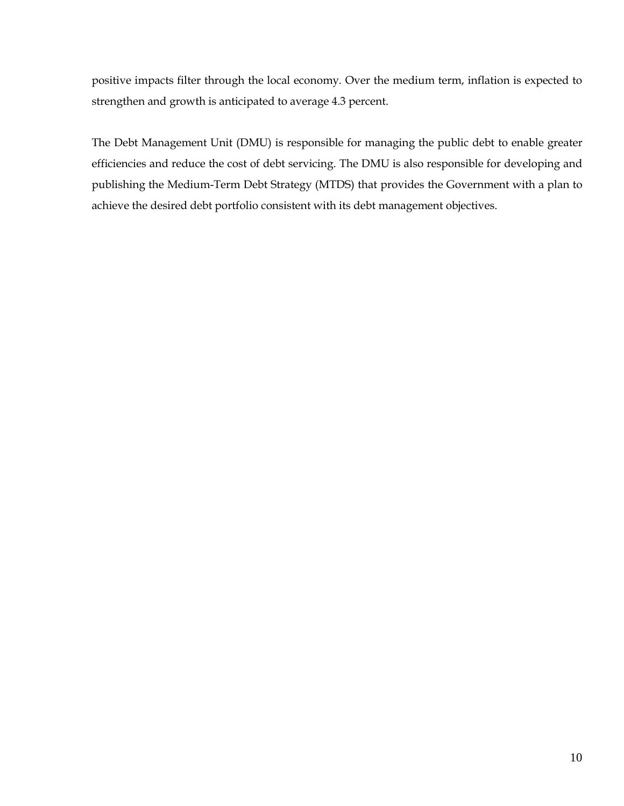positive impacts filter through the local economy. Over the medium term, inflation is expected to strengthen and growth is anticipated to average 4.3 percent.

The Debt Management Unit (DMU) is responsible for managing the public debt to enable greater efficiencies and reduce the cost of debt servicing. The DMU is also responsible for developing and publishing the Medium-Term Debt Strategy (MTDS) that provides the Government with a plan to achieve the desired debt portfolio consistent with its debt management objectives.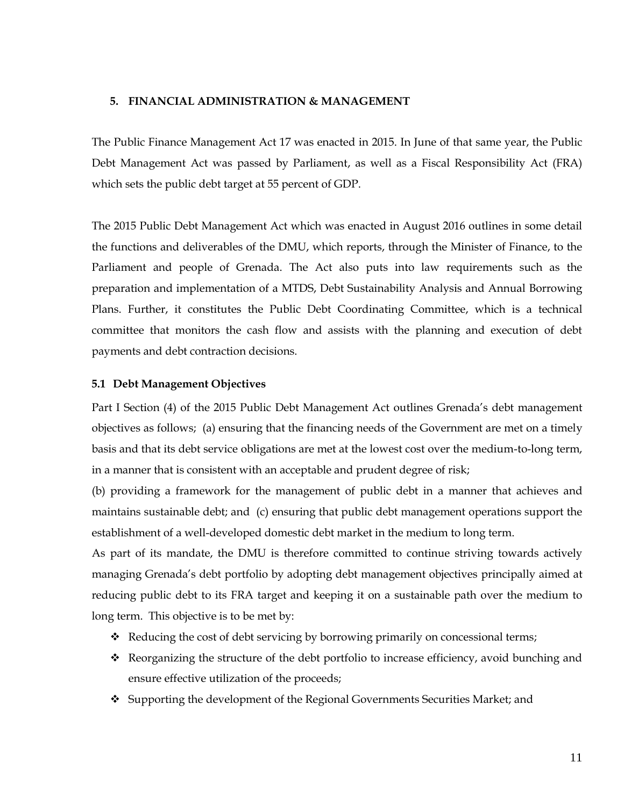# <span id="page-10-0"></span>**5. FINANCIAL ADMINISTRATION & MANAGEMENT**

The Public Finance Management Act 17 was enacted in 2015. In June of that same year, the Public Debt Management Act was passed by Parliament, as well as a Fiscal Responsibility Act (FRA) which sets the public debt target at 55 percent of GDP.

The 2015 Public Debt Management Act which was enacted in August 2016 outlines in some detail the functions and deliverables of the DMU, which reports, through the Minister of Finance, to the Parliament and people of Grenada. The Act also puts into law requirements such as the preparation and implementation of a MTDS, Debt Sustainability Analysis and Annual Borrowing Plans. Further, it constitutes the Public Debt Coordinating Committee, which is a technical committee that monitors the cash flow and assists with the planning and execution of debt payments and debt contraction decisions.

#### <span id="page-10-1"></span>**5.1 Debt Management Objectives**

Part I Section (4) of the 2015 Public Debt Management Act outlines Grenada's debt management objectives as follows; (a) ensuring that the financing needs of the Government are met on a timely basis and that its debt service obligations are met at the lowest cost over the medium-to-long term, in a manner that is consistent with an acceptable and prudent degree of risk;

(b) providing a framework for the management of public debt in a manner that achieves and maintains sustainable debt; and (c) ensuring that public debt management operations support the establishment of a well-developed domestic debt market in the medium to long term.

As part of its mandate, the DMU is therefore committed to continue striving towards actively managing Grenada's debt portfolio by adopting debt management objectives principally aimed at reducing public debt to its FRA target and keeping it on a sustainable path over the medium to long term. This objective is to be met by:

- ❖ Reducing the cost of debt servicing by borrowing primarily on concessional terms;
- ❖ Reorganizing the structure of the debt portfolio to increase efficiency, avoid bunching and ensure effective utilization of the proceeds;
- ❖ Supporting the development of the Regional Governments Securities Market; and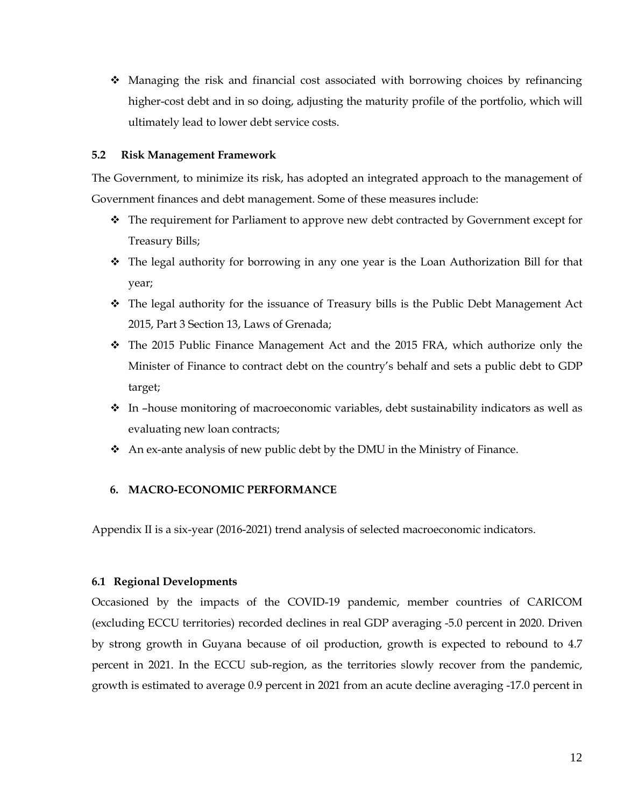❖ Managing the risk and financial cost associated with borrowing choices by refinancing higher-cost debt and in so doing, adjusting the maturity profile of the portfolio, which will ultimately lead to lower debt service costs.

# <span id="page-11-0"></span>**5.2 Risk Management Framework**

The Government, to minimize its risk, has adopted an integrated approach to the management of Government finances and debt management. Some of these measures include:

- ❖ The requirement for Parliament to approve new debt contracted by Government except for Treasury Bills;
- ❖ The legal authority for borrowing in any one year is the Loan Authorization Bill for that year;
- ❖ The legal authority for the issuance of Treasury bills is the Public Debt Management Act 2015, Part 3 Section 13, Laws of Grenada;
- ❖ The 2015 Public Finance Management Act and the 2015 FRA, which authorize only the Minister of Finance to contract debt on the country's behalf and sets a public debt to GDP target;
- ❖ In –house monitoring of macroeconomic variables, debt sustainability indicators as well as evaluating new loan contracts;
- ❖ An ex-ante analysis of new public debt by the DMU in the Ministry of Finance.

# <span id="page-11-1"></span>**6. MACRO-ECONOMIC PERFORMANCE**

Appendix II is a six-year (2016-2021) trend analysis of selected macroeconomic indicators.

# <span id="page-11-2"></span>**6.1 Regional Developments**

Occasioned by the impacts of the COVID-19 pandemic, member countries of CARICOM (excluding ECCU territories) recorded declines in real GDP averaging -5.0 percent in 2020. Driven by strong growth in Guyana because of oil production, growth is expected to rebound to 4.7 percent in 2021. In the ECCU sub-region, as the territories slowly recover from the pandemic, growth is estimated to average 0.9 percent in 2021 from an acute decline averaging -17.0 percent in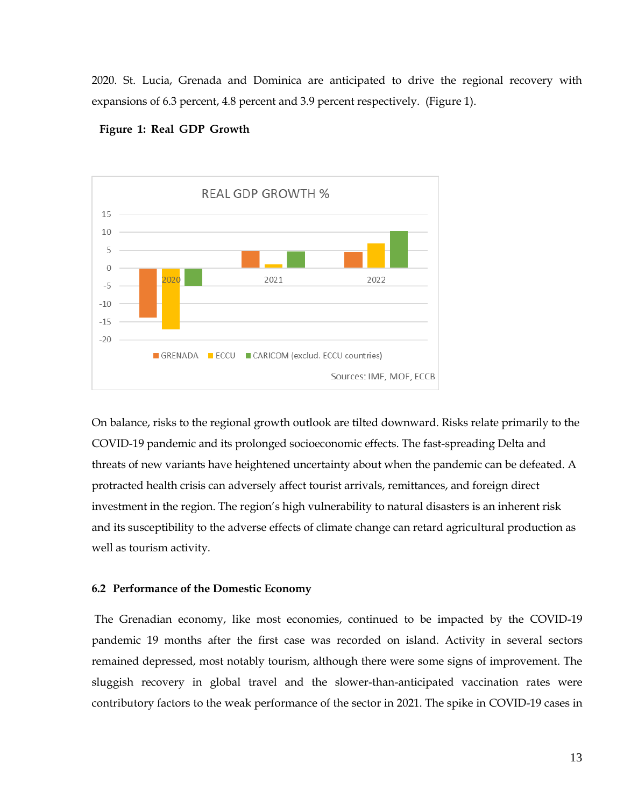2020. St. Lucia, Grenada and Dominica are anticipated to drive the regional recovery with expansions of 6.3 percent, 4.8 percent and 3.9 percent respectively. (Figure 1).



#### **Figure 1: Real GDP Growth**

On balance, risks to the regional growth outlook are tilted downward. Risks relate primarily to the COVID-19 pandemic and its prolonged socioeconomic effects. The fast-spreading Delta and threats of new variants have heightened uncertainty about when the pandemic can be defeated. A protracted health crisis can adversely affect tourist arrivals, remittances, and foreign direct investment in the region. The region's high vulnerability to natural disasters is an inherent risk and its susceptibility to the adverse effects of climate change can retard agricultural production as well as tourism activity.

#### **6.2 Performance of the Domestic Economy**

The Grenadian economy, like most economies, continued to be impacted by the COVID-19 pandemic 19 months after the first case was recorded on island. Activity in several sectors remained depressed, most notably tourism, although there were some signs of improvement. The sluggish recovery in global travel and the slower-than-anticipated vaccination rates were contributory factors to the weak performance of the sector in 2021. The spike in COVID-19 cases in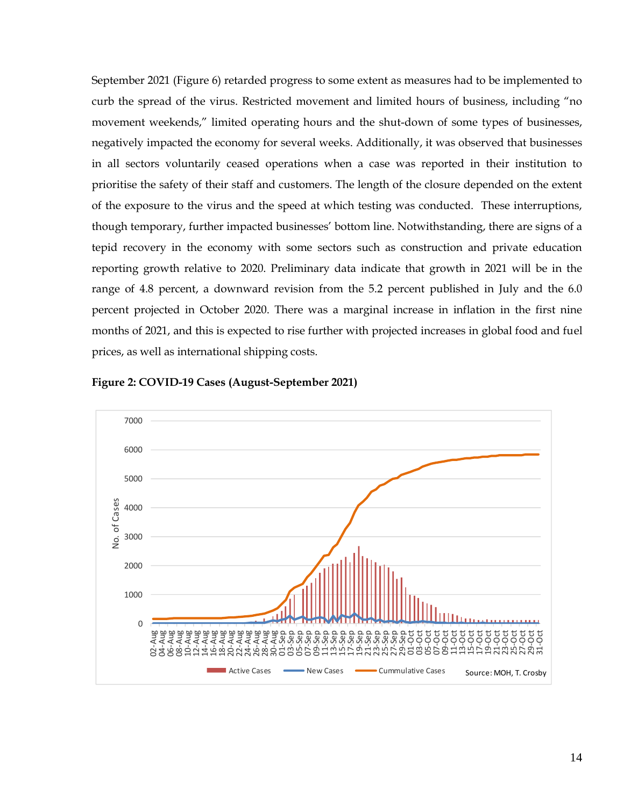September 2021 (Figure 6) retarded progress to some extent as measures had to be implemented to curb the spread of the virus. Restricted movement and limited hours of business, including "no movement weekends," limited operating hours and the shut-down of some types of businesses, negatively impacted the economy for several weeks. Additionally, it was observed that businesses in all sectors voluntarily ceased operations when a case was reported in their institution to prioritise the safety of their staff and customers. The length of the closure depended on the extent of the exposure to the virus and the speed at which testing was conducted. These interruptions, though temporary, further impacted businesses' bottom line. Notwithstanding, there are signs of a tepid recovery in the economy with some sectors such as construction and private education reporting growth relative to 2020. Preliminary data indicate that growth in 2021 will be in the range of 4.8 percent, a downward revision from the 5.2 percent published in July and the 6.0 percent projected in October 2020. There was a marginal increase in inflation in the first nine months of 2021, and this is expected to rise further with projected increases in global food and fuel prices, as well as international shipping costs.



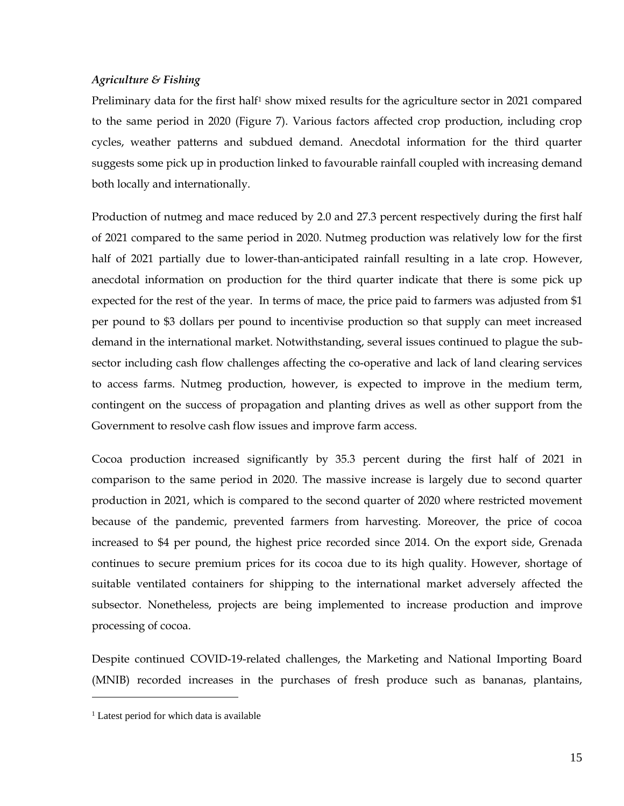# *Agriculture & Fishing*

Preliminary data for the first half<sup>1</sup> show mixed results for the agriculture sector in 2021 compared to the same period in 2020 (Figure 7). Various factors affected crop production, including crop cycles, weather patterns and subdued demand. Anecdotal information for the third quarter suggests some pick up in production linked to favourable rainfall coupled with increasing demand both locally and internationally.

Production of nutmeg and mace reduced by 2.0 and 27.3 percent respectively during the first half of 2021 compared to the same period in 2020. Nutmeg production was relatively low for the first half of 2021 partially due to lower-than-anticipated rainfall resulting in a late crop. However, anecdotal information on production for the third quarter indicate that there is some pick up expected for the rest of the year. In terms of mace, the price paid to farmers was adjusted from \$1 per pound to \$3 dollars per pound to incentivise production so that supply can meet increased demand in the international market. Notwithstanding, several issues continued to plague the subsector including cash flow challenges affecting the co-operative and lack of land clearing services to access farms. Nutmeg production, however, is expected to improve in the medium term, contingent on the success of propagation and planting drives as well as other support from the Government to resolve cash flow issues and improve farm access.

Cocoa production increased significantly by 35.3 percent during the first half of 2021 in comparison to the same period in 2020. The massive increase is largely due to second quarter production in 2021, which is compared to the second quarter of 2020 where restricted movement because of the pandemic, prevented farmers from harvesting. Moreover, the price of cocoa increased to \$4 per pound, the highest price recorded since 2014. On the export side, Grenada continues to secure premium prices for its cocoa due to its high quality. However, shortage of suitable ventilated containers for shipping to the international market adversely affected the subsector. Nonetheless, projects are being implemented to increase production and improve processing of cocoa.

Despite continued COVID-19-related challenges, the Marketing and National Importing Board (MNIB) recorded increases in the purchases of fresh produce such as bananas, plantains,

 $<sup>1</sup>$  Latest period for which data is available</sup>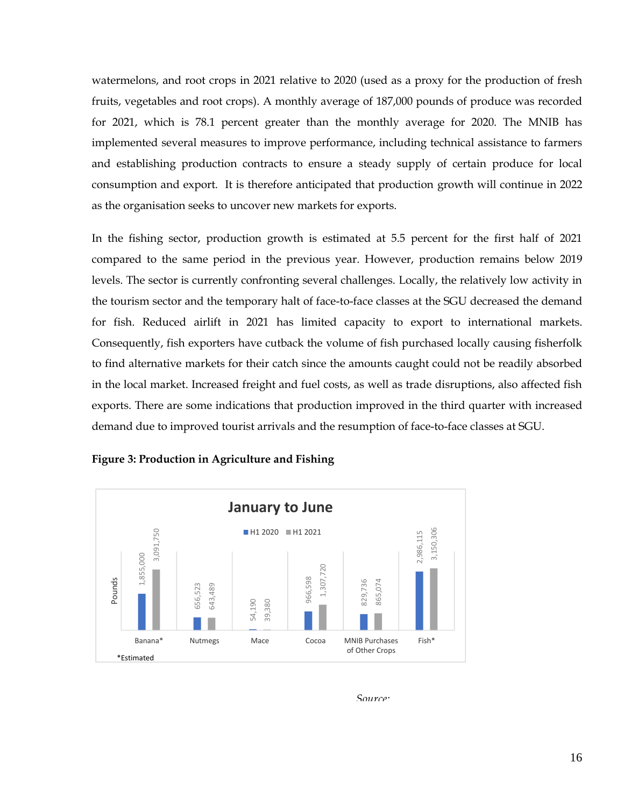watermelons, and root crops in 2021 relative to 2020 (used as a proxy for the production of fresh fruits, vegetables and root crops). A monthly average of 187,000 pounds of produce was recorded for 2021, which is 78.1 percent greater than the monthly average for 2020. The MNIB has implemented several measures to improve performance, including technical assistance to farmers and establishing production contracts to ensure a steady supply of certain produce for local consumption and export. It is therefore anticipated that production growth will continue in 2022 as the organisation seeks to uncover new markets for exports.

In the fishing sector, production growth is estimated at 5.5 percent for the first half of 2021 compared to the same period in the previous year. However, production remains below 2019 levels. The sector is currently confronting several challenges. Locally, the relatively low activity in the tourism sector and the temporary halt of face-to-face classes at the SGU decreased the demand for fish. Reduced airlift in 2021 has limited capacity to export to international markets. Consequently, fish exporters have cutback the volume of fish purchased locally causing fisherfolk to find alternative markets for their catch since the amounts caught could not be readily absorbed in the local market. Increased freight and fuel costs, as well as trade disruptions, also affected fish exports. There are some indications that production improved in the third quarter with increased demand due to improved tourist arrivals and the resumption of face-to-face classes at SGU.



**Figure 3: Production in Agriculture and Fishing**

*Source:*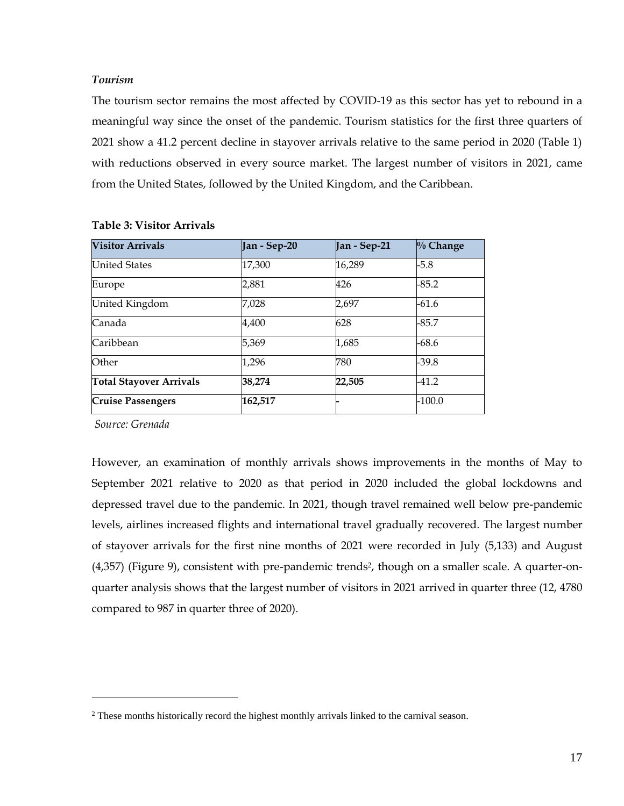# *Tourism*

The tourism sector remains the most affected by COVID-19 as this sector has yet to rebound in a meaningful way since the onset of the pandemic. Tourism statistics for the first three quarters of 2021 show a 41.2 percent decline in stayover arrivals relative to the same period in 2020 (Table 1) with reductions observed in every source market. The largest number of visitors in 2021, came from the United States, followed by the United Kingdom, and the Caribbean.

| <b>Visitor Arrivals</b>        | Jan - Sep-20 | Jan - Sep-21 | $\%$ Change |
|--------------------------------|--------------|--------------|-------------|
| <b>United States</b>           | 17,300       | 16,289       | $-5.8$      |
| Europe                         | 2,881        | 426          | $-85.2$     |
| United Kingdom                 | 7,028        | 2,697        | $-61.6$     |
| Canada                         | 4,400        | 628          | $-85.7$     |
| Caribbean                      | 5,369        | 1,685        | $-68.6$     |
| Other                          | 1,296        | 780          | -39.8       |
| <b>Total Stayover Arrivals</b> | 38,274       | 22,505       | $-41.2$     |
| <b>Cruise Passengers</b>       | 162,517      |              | -100.0      |

# **Table 3: Visitor Arrivals**

*Source: Grenada*

However, an examination of monthly arrivals shows improvements in the months of May to September 2021 relative to 2020 as that period in 2020 included the global lockdowns and depressed travel due to the pandemic. In 2021, though travel remained well below pre-pandemic levels, airlines increased flights and international travel gradually recovered. The largest number of stayover arrivals for the first nine months of 2021 were recorded in July (5,133) and August  $(4,357)$  (Figure 9), consistent with pre-pandemic trends<sup>2</sup>, though on a smaller scale. A quarter-onquarter analysis shows that the largest number of visitors in 2021 arrived in quarter three (12, 4780 compared to 987 in quarter three of 2020).

 $2$  These months historically record the highest monthly arrivals linked to the carnival season.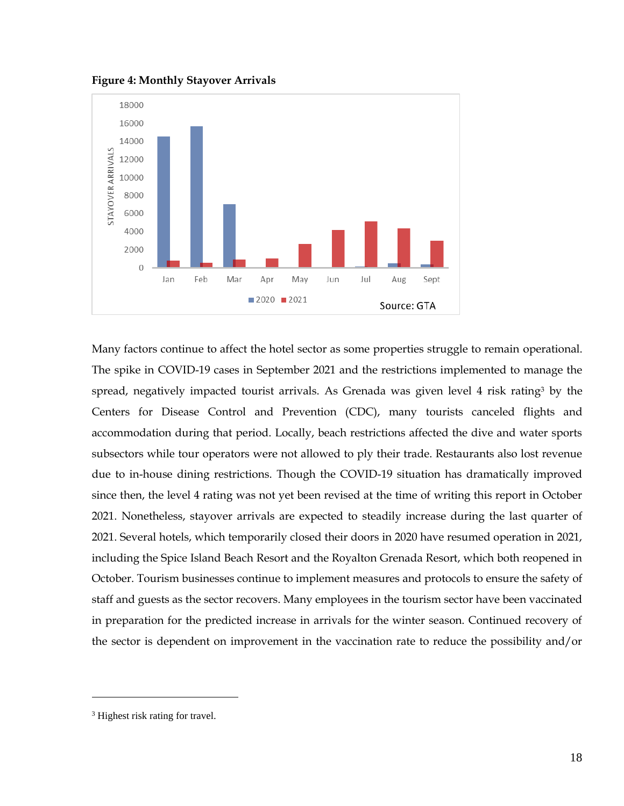**Figure 4: Monthly Stayover Arrivals**



Many factors continue to affect the hotel sector as some properties struggle to remain operational. The spike in COVID-19 cases in September 2021 and the restrictions implemented to manage the spread, negatively impacted tourist arrivals. As Grenada was given level 4 risk rating<sup>3</sup> by the Centers for Disease Control and Prevention (CDC), many tourists canceled flights and accommodation during that period. Locally, beach restrictions affected the dive and water sports subsectors while tour operators were not allowed to ply their trade. Restaurants also lost revenue due to in-house dining restrictions. Though the COVID-19 situation has dramatically improved since then, the level 4 rating was not yet been revised at the time of writing this report in October 2021. Nonetheless, stayover arrivals are expected to steadily increase during the last quarter of 2021. Several hotels, which temporarily closed their doors in 2020 have resumed operation in 2021, including the Spice Island Beach Resort and the Royalton Grenada Resort, which both reopened in October. Tourism businesses continue to implement measures and protocols to ensure the safety of staff and guests as the sector recovers. Many employees in the tourism sector have been vaccinated in preparation for the predicted increase in arrivals for the winter season. Continued recovery of the sector is dependent on improvement in the vaccination rate to reduce the possibility and/or

<sup>&</sup>lt;sup>3</sup> Highest risk rating for travel.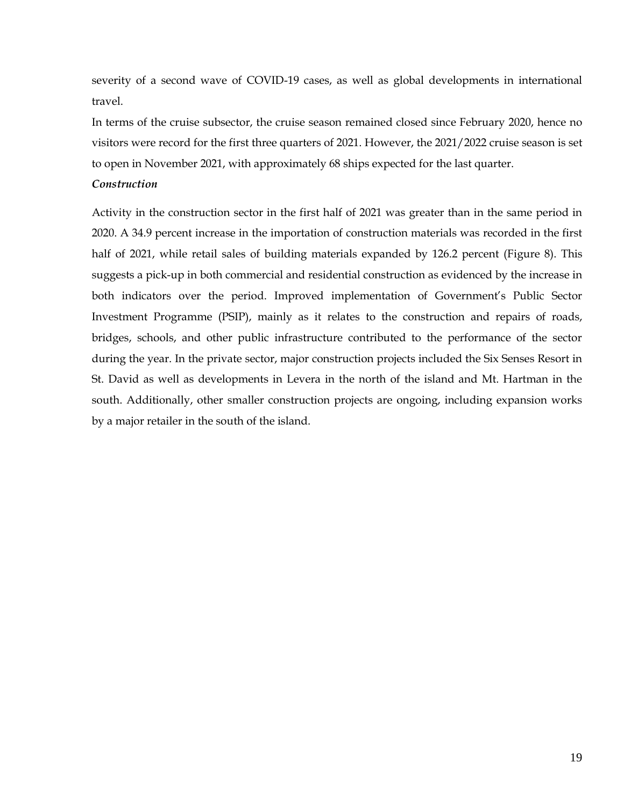severity of a second wave of COVID-19 cases, as well as global developments in international travel.

In terms of the cruise subsector, the cruise season remained closed since February 2020, hence no visitors were record for the first three quarters of 2021. However, the 2021/2022 cruise season is set to open in November 2021, with approximately 68 ships expected for the last quarter.

# *Construction*

Activity in the construction sector in the first half of 2021 was greater than in the same period in 2020. A 34.9 percent increase in the importation of construction materials was recorded in the first half of 2021, while retail sales of building materials expanded by 126.2 percent (Figure 8). This suggests a pick-up in both commercial and residential construction as evidenced by the increase in both indicators over the period. Improved implementation of Government's Public Sector Investment Programme (PSIP), mainly as it relates to the construction and repairs of roads, bridges, schools, and other public infrastructure contributed to the performance of the sector during the year. In the private sector, major construction projects included the Six Senses Resort in St. David as well as developments in Levera in the north of the island and Mt. Hartman in the south. Additionally, other smaller construction projects are ongoing, including expansion works by a major retailer in the south of the island.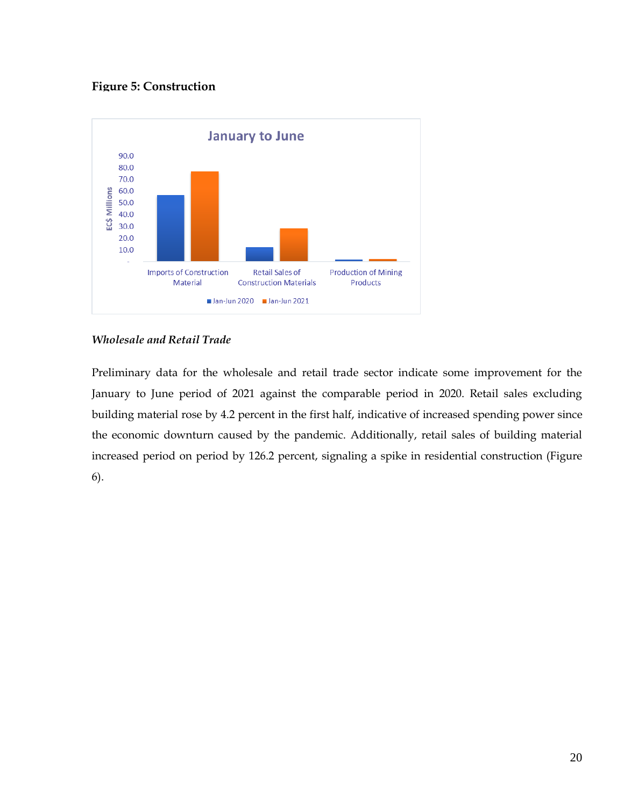# **Figure 5: Construction**



# *Wholesale and Retail Trade*

Preliminary data for the wholesale and retail trade sector indicate some improvement for the January to June period of 2021 against the comparable period in 2020. Retail sales excluding building material rose by 4.2 percent in the first half, indicative of increased spending power since the economic downturn caused by the pandemic. Additionally, retail sales of building material increased period on period by 126.2 percent, signaling a spike in residential construction (Figure 6).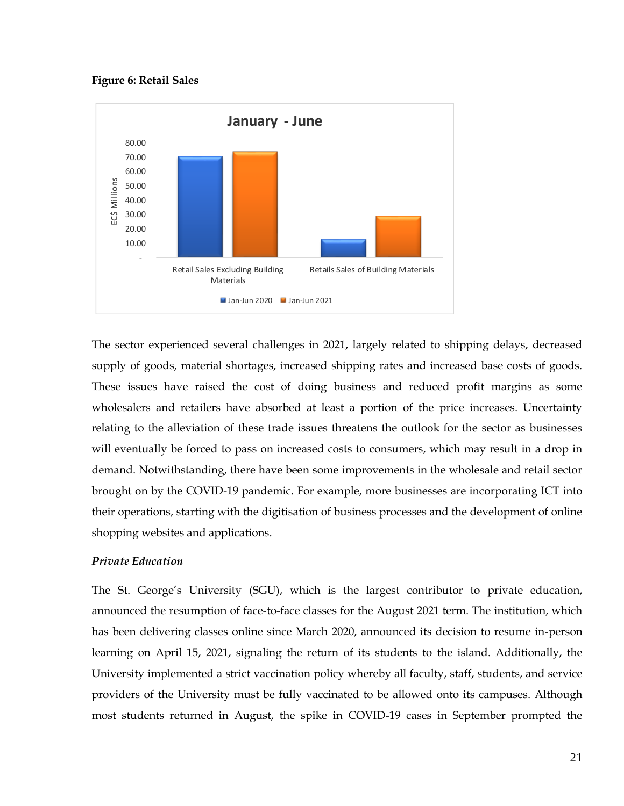**Figure 6: Retail Sales**



The sector experienced several challenges in 2021, largely related to shipping delays, decreased supply of goods, material shortages, increased shipping rates and increased base costs of goods. These issues have raised the cost of doing business and reduced profit margins as some wholesalers and retailers have absorbed at least a portion of the price increases. Uncertainty relating to the alleviation of these trade issues threatens the outlook for the sector as businesses will eventually be forced to pass on increased costs to consumers, which may result in a drop in demand. Notwithstanding, there have been some improvements in the wholesale and retail sector brought on by the COVID-19 pandemic. For example, more businesses are incorporating ICT into their operations, starting with the digitisation of business processes and the development of online shopping websites and applications.

## *Private Education*

The St. George's University (SGU), which is the largest contributor to private education, announced the resumption of face-to-face classes for the August 2021 term. The institution, which has been delivering classes online since March 2020, announced its decision to resume in-person learning on April 15, 2021, signaling the return of its students to the island. Additionally, the University implemented a strict vaccination policy whereby all faculty, staff, students, and service providers of the University must be fully vaccinated to be allowed onto its campuses. Although most students returned in August, the spike in COVID-19 cases in September prompted the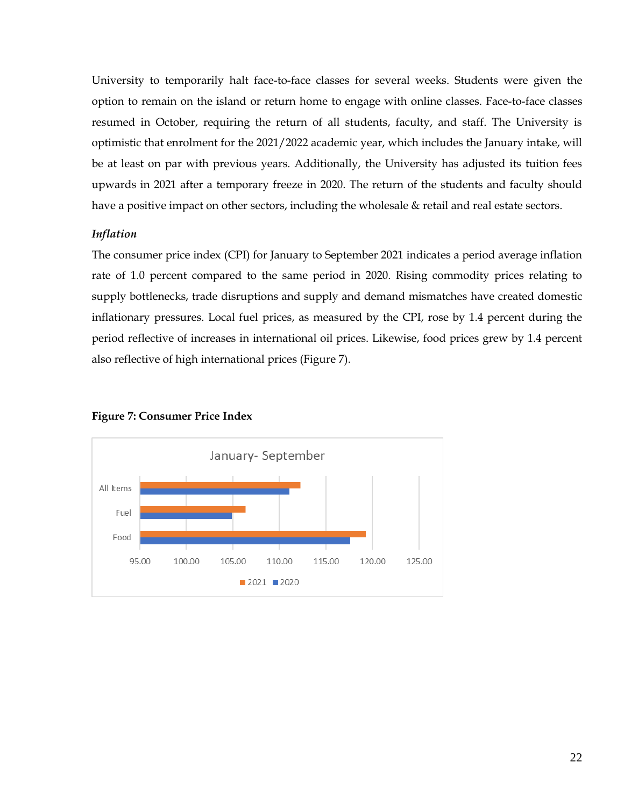University to temporarily halt face-to-face classes for several weeks. Students were given the option to remain on the island or return home to engage with online classes. Face-to-face classes resumed in October, requiring the return of all students, faculty, and staff. The University is optimistic that enrolment for the 2021/2022 academic year, which includes the January intake, will be at least on par with previous years. Additionally, the University has adjusted its tuition fees upwards in 2021 after a temporary freeze in 2020. The return of the students and faculty should have a positive impact on other sectors, including the wholesale & retail and real estate sectors.

# *Inflation*

The consumer price index (CPI) for January to September 2021 indicates a period average inflation rate of 1.0 percent compared to the same period in 2020. Rising commodity prices relating to supply bottlenecks, trade disruptions and supply and demand mismatches have created domestic inflationary pressures. Local fuel prices, as measured by the CPI, rose by 1.4 percent during the period reflective of increases in international oil prices. Likewise, food prices grew by 1.4 percent also reflective of high international prices (Figure 7).



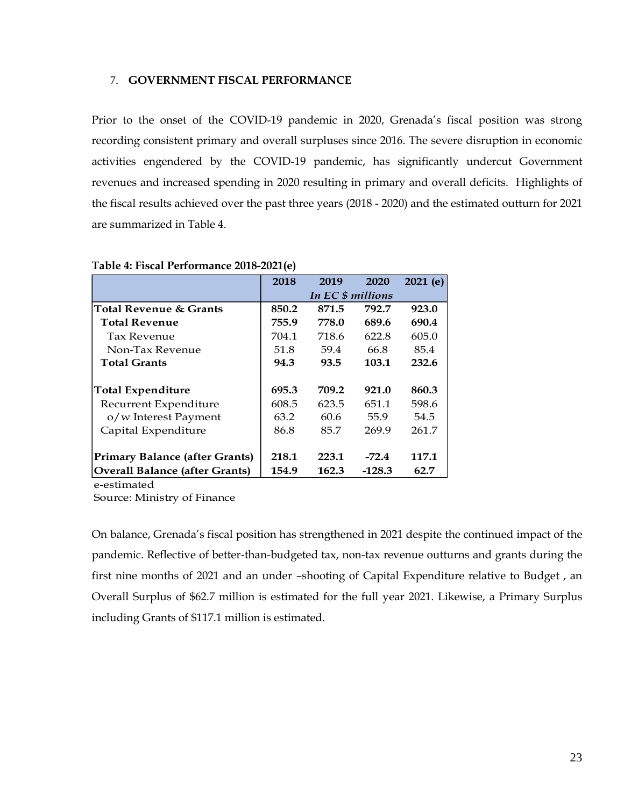#### <span id="page-22-0"></span>7. **GOVERNMENT FISCAL PERFORMANCE**

Prior to the onset of the COVID-19 pandemic in 2020, Grenada's fiscal position was strong recording consistent primary and overall surpluses since 2016. The severe disruption in economic activities engendered by the COVID-19 pandemic, has significantly undercut Government revenues and increased spending in 2020 resulting in primary and overall deficits. Highlights of the fiscal results achieved over the past three years (2018 - 2020) and the estimated outturn for 2021 are summarized in Table 4.

|                                       | 2018  | 2019              | 2020     | 2021(e) |
|---------------------------------------|-------|-------------------|----------|---------|
|                                       |       | In EC \$ millions |          |         |
| <b>Total Revenue &amp; Grants</b>     | 850.2 | 871.5             | 792.7    | 923.0   |
| <b>Total Revenue</b>                  | 755.9 | 778.0             | 689.6    | 690.4   |
| <b>Tax Revenue</b>                    | 704.1 | 718.6             | 622.8    | 605.0   |
| Non-Tax Revenue                       | 51.8  | 59.4              | 66.8     | 85.4    |
| <b>Total Grants</b>                   | 94.3  | 93.5              | 103.1    | 232.6   |
|                                       |       |                   |          |         |
| <b>Total Expenditure</b>              | 695.3 | 709.2             | 921.0    | 860.3   |
| Recurrent Expenditure                 | 608.5 | 623.5             | 651.1    | 598.6   |
| o/w Interest Payment                  | 63.2  | 60.6              | 55.9     | 54.5    |
| Capital Expenditure                   | 86.8  | 85.7              | 269.9    | 261.7   |
|                                       |       |                   |          |         |
| <b>Primary Balance (after Grants)</b> | 218.1 | 223.1             | $-72.4$  | 117.1   |
| <b>Overall Balance (after Grants)</b> | 154.9 | 162.3             | $-128.3$ | 62.7    |

## **Table 4: Fiscal Performance 2018-2021(e)**

e-estimated

Source: Ministry of Finance

On balance, Grenada's fiscal position has strengthened in 2021 despite the continued impact of the pandemic. Reflective of better-than-budgeted tax, non-tax revenue outturns and grants during the first nine months of 2021 and an under –shooting of Capital Expenditure relative to Budget , an Overall Surplus of \$62.7 million is estimated for the full year 2021. Likewise, a Primary Surplus including Grants of \$117.1 million is estimated.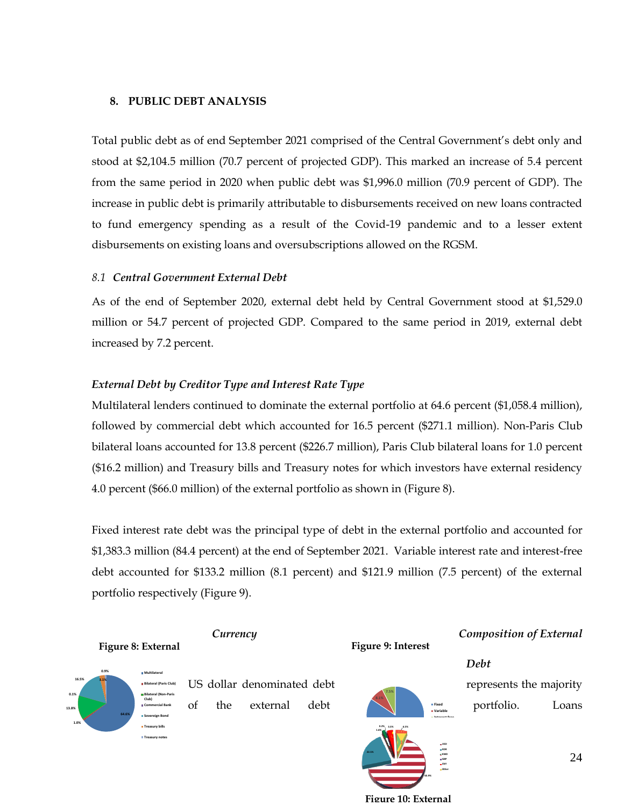# <span id="page-23-0"></span>**8. PUBLIC DEBT ANALYSIS**

Total public debt as of end September 2021 comprised of the Central Government's debt only and stood at \$2,104.5 million (70.7 percent of projected GDP). This marked an increase of 5.4 percent from the same period in 2020 when public debt was \$1,996.0 million (70.9 percent of GDP). The increase in public debt is primarily attributable to disbursements received on new loans contracted to fund emergency spending as a result of the Covid-19 pandemic and to a lesser extent disbursements on existing loans and oversubscriptions allowed on the RGSM.

# <span id="page-23-1"></span>*8.1 Central Government External Debt*

As of the end of September 2020, external debt held by Central Government stood at \$1,529.0 million or 54.7 percent of projected GDP. Compared to the same period in 2019, external debt increased by 7.2 percent.

# *External Debt by Creditor Type and Interest Rate Type*

Multilateral lenders continued to dominate the external portfolio at 64.6 percent (\$1,058.4 million), followed by commercial debt which accounted for 16.5 percent (\$271.1 million). Non-Paris Club bilateral loans accounted for 13.8 percent (\$226.7 million), Paris Club bilateral loans for 1.0 percent (\$16.2 million) and Treasury bills and Treasury notes for which investors have external residency 4.0 percent (\$66.0 million) of the external portfolio as shown in (Figure 8).

Fixed interest rate debt was the principal type of debt in the external portfolio and accounted for \$1,383.3 million (84.4 percent) at the end of September 2021. Variable interest rate and interest-free debt accounted for \$133.2 million (8.1 percent) and \$121.9 million (7.5 percent) of the external portfolio respectively (Figure 9).

#### **Figure 9: Interest**

# *Currency Composition of External*

# *Debt*





**Figure 8: External** 

US dollar denominated debt represents the majority of the external debt **portfolio.** Loans

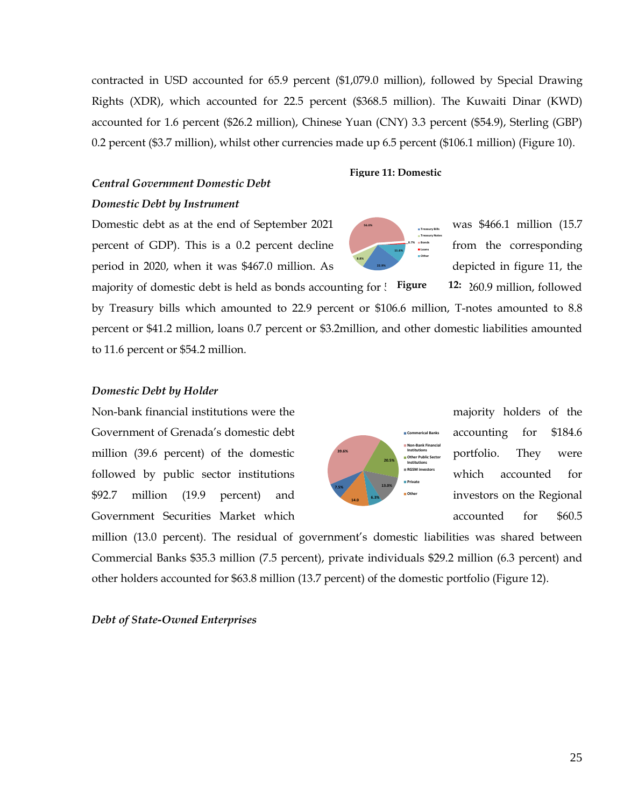25

contracted in USD accounted for 65.9 percent (\$1,079.0 million), followed by Special Drawing Rights (XDR), which accounted for 22.5 percent (\$368.5 million). The Kuwaiti Dinar (KWD) accounted for 1.6 percent (\$26.2 million), Chinese Yuan (CNY) 3.3 percent (\$54.9), Sterling (GBP) 0.2 percent (\$3.7 million), whilst other currencies made up 6.5 percent (\$106.1 million) (Figure 10).

# *Central Government Domestic Debt*

**Figure 11: Domestic** 

**0.7% 11.6%**

**Treasury Bills Treasury Notes Bonds Loans Other**

**22.9%**

**8.8%**

**56.0%**

# *Domestic Debt by Instrument*

Domestic debt as at the end of September 2021 was \$466.1 million (15.7) percent of GDP). This is a 0.2 percent decline from the corresponding period in 2020, when it was \$467.0 million. As depicted in figure 11, the

majority of domestic debt is held as bonds accounting for  $\frac{1}{2}$ . **Figure** 12: 260.9 million, followed by Treasury bills which amounted to 22.9 percent or \$106.6 million, T-notes amounted to 8.8 percent or \$41.2 million, loans 0.7 percent or \$3.2million, and other domestic liabilities amounted to 11.6 percent or \$54.2 million.

# *Domestic Debt by Holder*

Non-bank financial institutions were the majority holders of the Government of Grenada's domestic debt **and accounting for \$184.6** million (39.6 percent) of the domestic  $\left| \begin{array}{ccc} \bullet & \bullet & \bullet & \bullet \\ \bullet & \bullet & \bullet & \bullet & \bullet \\ \bullet & \bullet & \bullet & \bullet & \bullet \end{array} \right|$  portfolio. They were followed by public sector institutions which accounted for  $$92.7$  million (19.9 percent) and  $\left( \begin{array}{ccc} 1 & 1 & 1 \end{array} \right)$  investors on the Regional Government Securities Market which and the secounted for \$60.5

million (13.0 percent). The residual of government's domestic liabilities was shared between Commercial Banks \$35.3 million (7.5 percent), private individuals \$29.2 million (6.3 percent) and other holders accounted for \$63.8 million (13.7 percent) of the domestic portfolio (Figure 12).

# *Debt of State-Owned Enterprises*

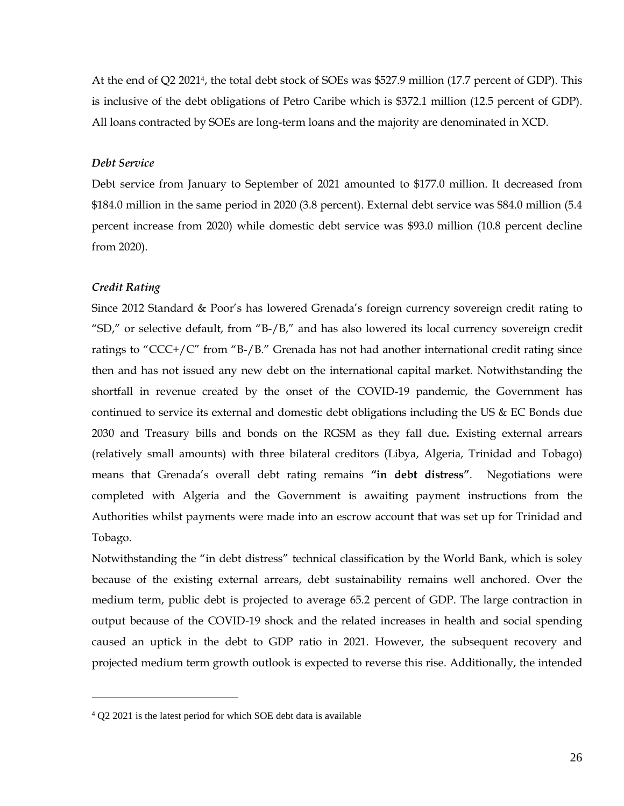At the end of Q2 20214, the total debt stock of SOEs was \$527.9 million (17.7 percent of GDP). This is inclusive of the debt obligations of Petro Caribe which is \$372.1 million (12.5 percent of GDP). All loans contracted by SOEs are long-term loans and the majority are denominated in XCD.

#### *Debt Service*

Debt service from January to September of 2021 amounted to \$177.0 million. It decreased from \$184.0 million in the same period in 2020 (3.8 percent). External debt service was \$84.0 million (5.4 percent increase from 2020) while domestic debt service was \$93.0 million (10.8 percent decline from 2020).

## *Credit Rating*

Since 2012 Standard & Poor's has lowered Grenada's foreign currency sovereign credit rating to "SD," or selective default, from "B- $/B$ ," and has also lowered its local currency sovereign credit ratings to "CCC+/C" from "B-/B." Grenada has not had another international credit rating since then and has not issued any new debt on the international capital market. Notwithstanding the shortfall in revenue created by the onset of the COVID-19 pandemic, the Government has continued to service its external and domestic debt obligations including the US & EC Bonds due 2030 and Treasury bills and bonds on the RGSM as they fall due*.* Existing external arrears (relatively small amounts) with three bilateral creditors (Libya, Algeria, Trinidad and Tobago) means that Grenada's overall debt rating remains **"in debt distress"**. Negotiations were completed with Algeria and the Government is awaiting payment instructions from the Authorities whilst payments were made into an escrow account that was set up for Trinidad and Tobago.

Notwithstanding the "in debt distress" technical classification by the World Bank, which is soley because of the existing external arrears, debt sustainability remains well anchored. Over the medium term, public debt is projected to average 65.2 percent of GDP. The large contraction in output because of the COVID-19 shock and the related increases in health and social spending caused an uptick in the debt to GDP ratio in 2021. However, the subsequent recovery and projected medium term growth outlook is expected to reverse this rise. Additionally, the intended

<sup>4</sup> Q2 2021 is the latest period for which SOE debt data is available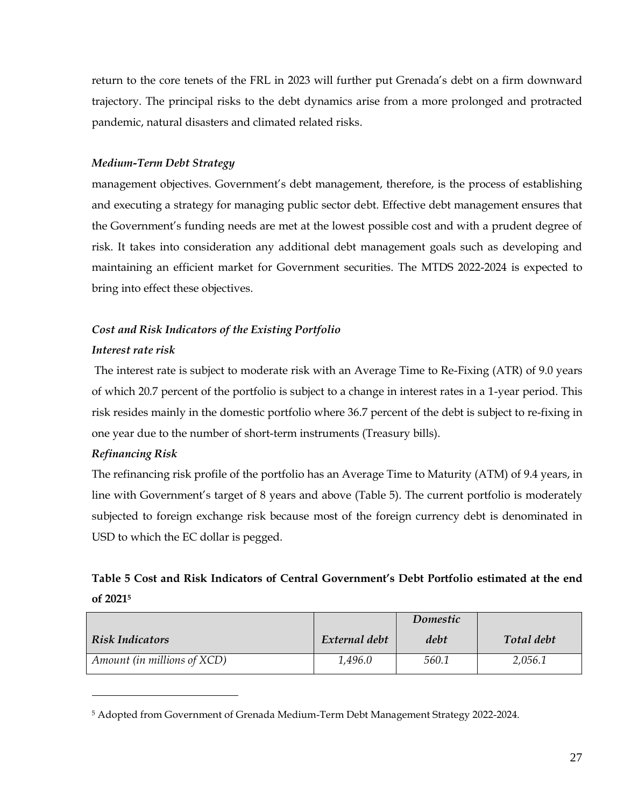return to the core tenets of the FRL in 2023 will further put Grenada's debt on a firm downward trajectory. The principal risks to the debt dynamics arise from a more prolonged and protracted pandemic, natural disasters and climated related risks.

# *Medium-Term Debt Strategy*

management objectives. Government's debt management, therefore, is the process of establishing and executing a strategy for managing public sector debt. Effective debt management ensures that the Government's funding needs are met at the lowest possible cost and with a prudent degree of risk. It takes into consideration any additional debt management goals such as developing and maintaining an efficient market for Government securities. The MTDS 2022-2024 is expected to bring into effect these objectives.

# *Cost and Risk Indicators of the Existing Portfolio Interest rate risk*

The interest rate is subject to moderate risk with an Average Time to Re-Fixing (ATR) of 9.0 years of which 20.7 percent of the portfolio is subject to a change in interest rates in a 1-year period. This risk resides mainly in the domestic portfolio where 36.7 percent of the debt is subject to re-fixing in one year due to the number of short-term instruments (Treasury bills).

# *Refinancing Risk*

The refinancing risk profile of the portfolio has an Average Time to Maturity (ATM) of 9.4 years, in line with Government's target of 8 years and above (Table 5). The current portfolio is moderately subjected to foreign exchange risk because most of the foreign currency debt is denominated in USD to which the EC dollar is pegged.

# **Table 5 Cost and Risk Indicators of Central Government's Debt Portfolio estimated at the end of 2021<sup>5</sup>**

|                             |               | Domestic |            |
|-----------------------------|---------------|----------|------------|
| <b>Risk Indicators</b>      | External debt | debt     | Total debt |
| Amount (in millions of XCD) | 1,496.0       | 560.1    | 2,056.1    |

<sup>5</sup> Adopted from Government of Grenada Medium-Term Debt Management Strategy 2022-2024.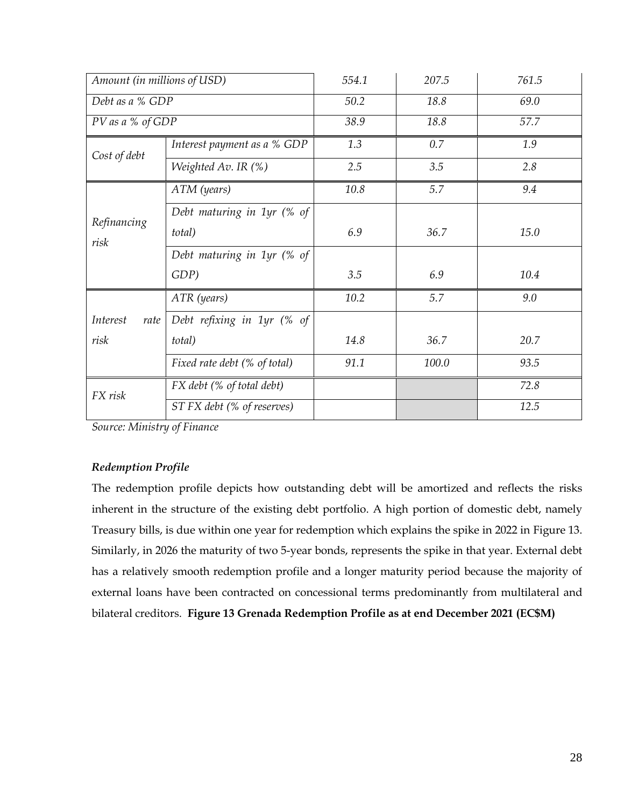| Amount (in millions of USD) |                                         | 554.1 | 207.5 | 761.5 |
|-----------------------------|-----------------------------------------|-------|-------|-------|
| Debt as a % GDP             |                                         | 50.2  | 18.8  | 69.0  |
| PV as a % of GDP            |                                         | 38.9  | 18.8  | 57.7  |
| Cost of debt                | Interest payment as a % GDP             | 1.3   | 0.7   | 1.9   |
|                             | Weighted Av. IR (%)                     | 2.5   | 3.5   | 2.8   |
|                             | ATM (years)                             | 10.8  | 5.7   | 9.4   |
|                             | Debt maturing in 1yr (% of              |       |       |       |
| Refinancing<br>risk         | total)                                  | 6.9   | 36.7  | 15.0  |
|                             | Debt maturing in 1yr (% of              |       |       |       |
|                             | GDP)                                    | 3.5   | 6.9   | 10.4  |
|                             | ATR (years)                             | 10.2  | 5.7   | 9.0   |
| Interest<br>rate            | Debt refixing in 1yr (% of              |       |       |       |
| risk                        | total)                                  | 14.8  | 36.7  | 20.7  |
|                             | Fixed rate debt (% of total)            | 91.1  | 100.0 | 93.5  |
| FX risk                     | FX debt (% of total debt)               |       |       | 72.8  |
|                             | $\overline{ST}$ FX debt (% of reserves) |       |       | 12.5  |

*Source: Ministry of Finance*

# *Redemption Profile*

The redemption profile depicts how outstanding debt will be amortized and reflects the risks inherent in the structure of the existing debt portfolio. A high portion of domestic debt, namely Treasury bills, is due within one year for redemption which explains the spike in 2022 in Figure 13. Similarly, in 2026 the maturity of two 5-year bonds, represents the spike in that year. External debt has a relatively smooth redemption profile and a longer maturity period because the majority of external loans have been contracted on concessional terms predominantly from multilateral and bilateral creditors. **Figure 13 Grenada Redemption Profile as at end December 2021 (EC\$M)**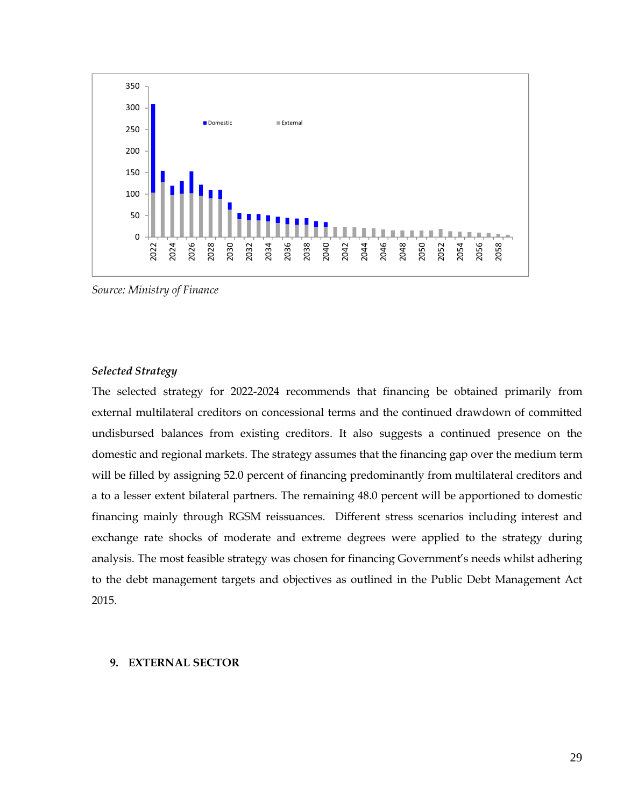

*Source: Ministry of Finance*

## *Selected Strategy*

The selected strategy for 2022-2024 recommends that financing be obtained primarily from external multilateral creditors on concessional terms and the continued drawdown of committed undisbursed balances from existing creditors. It also suggests a continued presence on the domestic and regional markets. The strategy assumes that the financing gap over the medium term will be filled by assigning 52.0 percent of financing predominantly from multilateral creditors and a to a lesser extent bilateral partners. The remaining 48.0 percent will be apportioned to domestic financing mainly through RGSM reissuances. Different stress scenarios including interest and exchange rate shocks of moderate and extreme degrees were applied to the strategy during analysis. The most feasible strategy was chosen for financing Government's needs whilst adhering to the debt management targets and objectives as outlined in the Public Debt Management Act 2015.

## <span id="page-28-0"></span>**9. EXTERNAL SECTOR**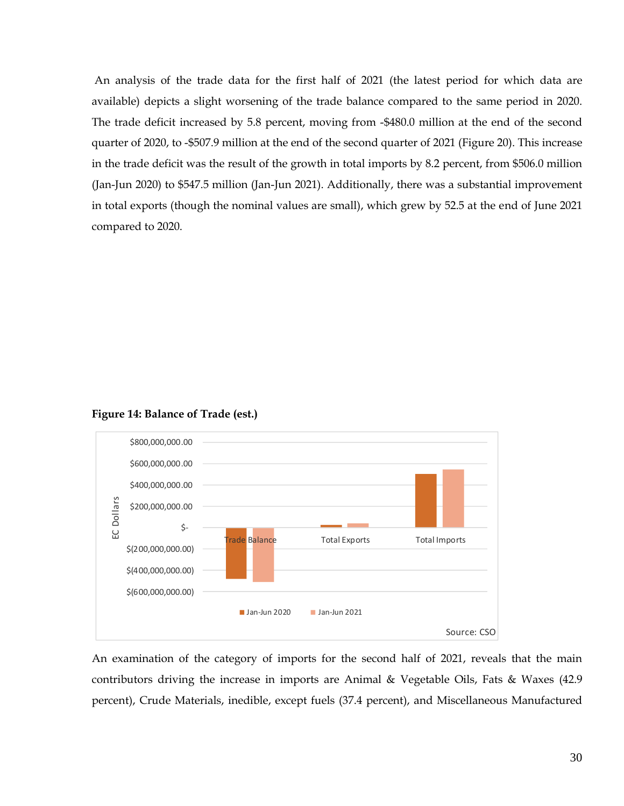An analysis of the trade data for the first half of 2021 (the latest period for which data are available) depicts a slight worsening of the trade balance compared to the same period in 2020. The trade deficit increased by 5.8 percent, moving from -\$480.0 million at the end of the second quarter of 2020, to -\$507.9 million at the end of the second quarter of 2021 (Figure 20). This increase in the trade deficit was the result of the growth in total imports by 8.2 percent, from \$506.0 million (Jan-Jun 2020) to \$547.5 million (Jan-Jun 2021). Additionally, there was a substantial improvement in total exports (though the nominal values are small), which grew by 52.5 at the end of June 2021 compared to 2020.



**Figure 14: Balance of Trade (est.)**

An examination of the category of imports for the second half of 2021, reveals that the main contributors driving the increase in imports are Animal & Vegetable Oils, Fats & Waxes (42.9 percent), Crude Materials, inedible, except fuels (37.4 percent), and Miscellaneous Manufactured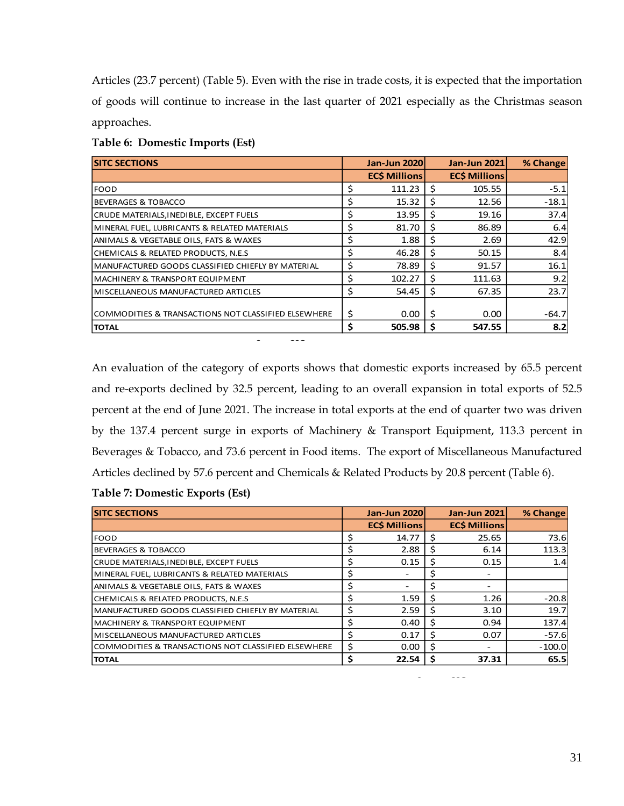Articles (23.7 percent) (Table 5). Even with the rise in trade costs, it is expected that the importation of goods will continue to increase in the last quarter of 2021 especially as the Christmas season approaches.

| <b>SITC SECTIONS</b>                                |    | <b>Jan-Jun 2020</b> |     | <b>Jan-Jun 2021</b> | % Change |
|-----------------------------------------------------|----|---------------------|-----|---------------------|----------|
|                                                     |    | <b>ECS Millions</b> |     | <b>ECS Millions</b> |          |
| <b>FOOD</b>                                         | \$ | 111.23              | Ŝ   | 105.55              | $-5.1$   |
| IBEVERAGES & TOBACCO                                | \$ | 15.32               | Ŝ.  | 12.56               | $-18.1$  |
| CRUDE MATERIALS, INEDIBLE, EXCEPT FUELS             | \$ | 13.95               | Ŝ   | 19.16               | 37.4     |
| MINERAL FUEL, LUBRICANTS & RELATED MATERIALS        | \$ | 81.70               | S   | 86.89               | 6.4      |
| ANIMALS & VEGETABLE OILS, FATS & WAXES              | \$ | 1.88                | Ŝ.  | 2.69                | 42.9     |
| CHEMICALS & RELATED PRODUCTS, N.E.S                 | \$ | 46.28               | Ŝ   | 50.15               | 8.4      |
| İMANUFACTURED GOODS CLASSIFIED CHIEFLY BY MATERIAL  | \$ | 78.89               | Ś   | 91.57               | 16.1     |
| MACHINERY & TRANSPORT EQUIPMENT                     | Ś  | 102.27              |     | 111.63              | 9.2      |
| lMISCELLANEOUS MANUFACTURED ARTICLES                | \$ | 54.45               | \$. | 67.35               | 23.7     |
| COMMODITIES & TRANSACTIONS NOT CLASSIFIED ELSEWHERE | \$ | 0.00                | Ŝ   | 0.00                | $-64.7$  |
| <b>TOTAL</b>                                        | \$ | 505.98              | s   | 547.55              | 8.2      |

Source: CSO

# **Table 6: Domestic Imports (Est)**

An evaluation of the category of exports shows that domestic exports increased by 65.5 percent and re-exports declined by 32.5 percent, leading to an overall expansion in total exports of 52.5 percent at the end of June 2021. The increase in total exports at the end of quarter two was driven by the 137.4 percent surge in exports of Machinery & Transport Equipment, 113.3 percent in Beverages & Tobacco, and 73.6 percent in Food items. The export of Miscellaneous Manufactured Articles declined by 57.6 percent and Chemicals & Related Products by 20.8 percent (Table 6).

# **Table 7: Domestic Exports (Est)**

| <b>SITC SECTIONS</b>                                |    | <b>Jan-Jun 2020</b> |    | <b>Jan-Jun 2021</b> | % Change |
|-----------------------------------------------------|----|---------------------|----|---------------------|----------|
|                                                     |    | <b>ECS Millions</b> |    | <b>ECS Millions</b> |          |
| <b>FOOD</b>                                         | \$ | 14.77               | .S | 25.65               | 73.6     |
| <b>BEVERAGES &amp; TOBACCO</b>                      | \$ | 2.88                | S  | 6.14                | 113.3    |
| CRUDE MATERIALS, INEDIBLE, EXCEPT FUELS             | S  | 0.15                | S  | 0.15                | 1.4      |
| MINERAL FUEL, LUBRICANTS & RELATED MATERIALS        | \$ |                     |    |                     |          |
| ANIMALS & VEGETABLE OILS, FATS & WAXES              | \$ |                     |    |                     |          |
| CHEMICALS & RELATED PRODUCTS, N.E.S                 | Ś  | 1.59                |    | 1.26                | $-20.8$  |
| MANUFACTURED GOODS CLASSIFIED CHIEFLY BY MATERIAL   | S. | 2.59                | S  | 3.10                | 19.7     |
| MACHINERY & TRANSPORT EQUIPMENT                     | \$ | 0.40                |    | 0.94                | 137.4    |
| MISCELLANEOUS MANUFACTURED ARTICLES                 | \$ | 0.17                | Ŝ  | 0.07                | $-57.6$  |
| COMMODITIES & TRANSACTIONS NOT CLASSIFIED ELSEWHERE | \$ | 0.00                | S  |                     | $-100.0$ |
| <b>TOTAL</b>                                        | \$ | 22.54               |    | 37.31               | 65.5     |

Source: CSO

31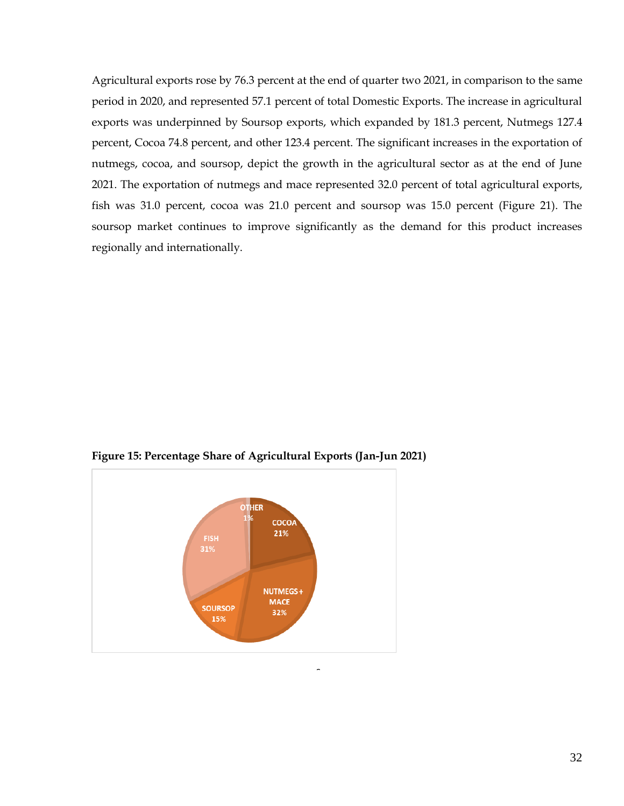Agricultural exports rose by 76.3 percent at the end of quarter two 2021, in comparison to the same period in 2020, and represented 57.1 percent of total Domestic Exports. The increase in agricultural exports was underpinned by Soursop exports, which expanded by 181.3 percent, Nutmegs 127.4 percent, Cocoa 74.8 percent, and other 123.4 percent. The significant increases in the exportation of nutmegs, cocoa, and soursop, depict the growth in the agricultural sector as at the end of June 2021. The exportation of nutmegs and mace represented 32.0 percent of total agricultural exports, fish was 31.0 percent, cocoa was 21.0 percent and soursop was 15.0 percent (Figure 21). The soursop market continues to improve significantly as the demand for this product increases regionally and internationally.



Source

**Figure 15: Percentage Share of Agricultural Exports (Jan-Jun 2021)**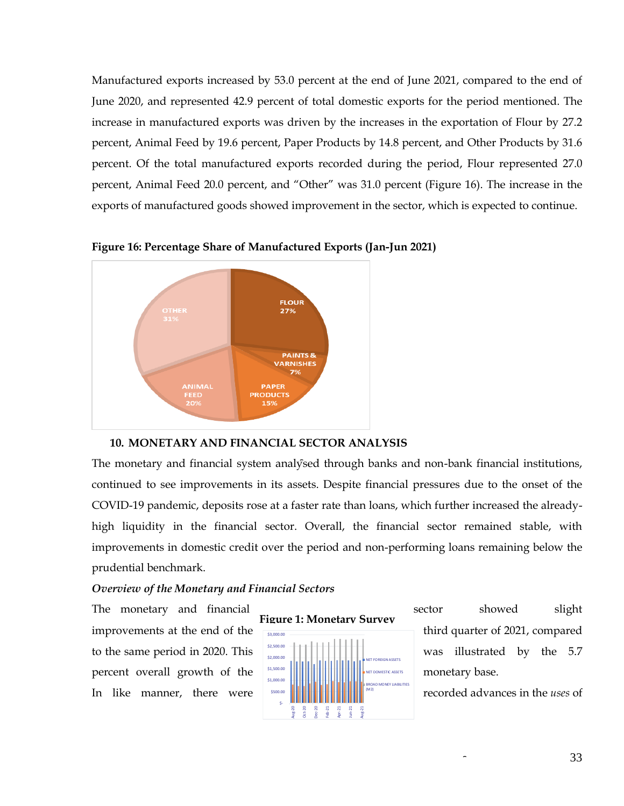Manufactured exports increased by 53.0 percent at the end of June 2021, compared to the end of June 2020, and represented 42.9 percent of total domestic exports for the period mentioned. The increase in manufactured exports was driven by the increases in the exportation of Flour by 27.2 percent, Animal Feed by 19.6 percent, Paper Products by 14.8 percent, and Other Products by 31.6 percent. Of the total manufactured exports recorded during the period, Flour represented 27.0 percent, Animal Feed 20.0 percent, and "Other" was 31.0 percent (Figure 16). The increase in the exports of manufactured goods showed improvement in the sector, which is expected to continue.



**Figure 16: Percentage Share of Manufactured Exports (Jan-Jun 2021)**

#### <span id="page-32-0"></span>**10. MONETARY AND FINANCIAL SECTOR ANALYSIS**

The monetary and financial system analysed through banks and non-bank financial institutions, continued to see improvements in its assets. Despite financial pressures due to the onset of the COVID-19 pandemic, deposits rose at a faster rate than loans, which further increased the alreadyhigh liquidity in the financial sector. Overall, the financial sector remained stable, with improvements in domestic credit over the period and non-performing loans remaining below the prudential benchmark.

## *Overview of the Monetary and Financial Sectors*



The monetary and financial sector showed slight improvements at the end of the the third quarter of 2021, compared to the same period in 2020. This was illustrated by the 5.7

Source: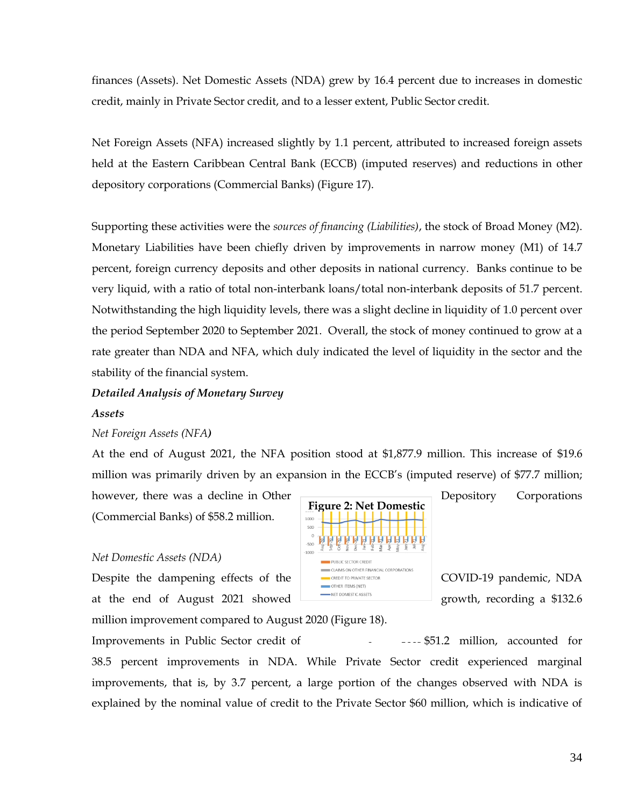finances (Assets). Net Domestic Assets (NDA) grew by 16.4 percent due to increases in domestic credit, mainly in Private Sector credit, and to a lesser extent, Public Sector credit.

Net Foreign Assets (NFA) increased slightly by 1.1 percent, attributed to increased foreign assets held at the Eastern Caribbean Central Bank (ECCB) (imputed reserves) and reductions in other depository corporations (Commercial Banks) (Figure 17).

Supporting these activities were the *sources of financing (Liabilities)*, the stock of Broad Money (M2). Monetary Liabilities have been chiefly driven by improvements in narrow money (M1) of 14.7 percent, foreign currency deposits and other deposits in national currency. Banks continue to be very liquid, with a ratio of total non-interbank loans/total non-interbank deposits of 51.7 percent. Notwithstanding the high liquidity levels, there was a slight decline in liquidity of 1.0 percent over the period September 2020 to September 2021. Overall, the stock of money continued to grow at a rate greater than NDA and NFA, which duly indicated the level of liquidity in the sector and the stability of the financial system.

# *Detailed Analysis of Monetary Survey*

# *Assets*

# *Net Foreign Assets (NFA)*

At the end of August 2021, the NFA position stood at \$1,877.9 million. This increase of \$19.6 million was primarily driven by an expansion in the ECCB's (imputed reserve) of \$77.7 million;

however, there was a decline in Other Depository Corporations (Commercial Banks) of \$58.2 million.

#### *Net Domestic Assets (NDA)*

Despite the dampening effects of the **COVID-19** pandemic, NDA at the end of August 2021 showed  $\overline{\phantom{a}}$   $\overline{\phantom{a}}$  a growth, recording a \$132.6

million improvement compared to August 2020 (Figure 18).

---- \$51.2 million, accounted for Improvements in Public Sector credit of 38.5 percent improvements in NDA. While Private Sector credit experienced marginal improvements, that is, by 3.7 percent, a large portion of the changes observed with NDA is explained by the nominal value of credit to the Private Sector \$60 million, which is indicative of

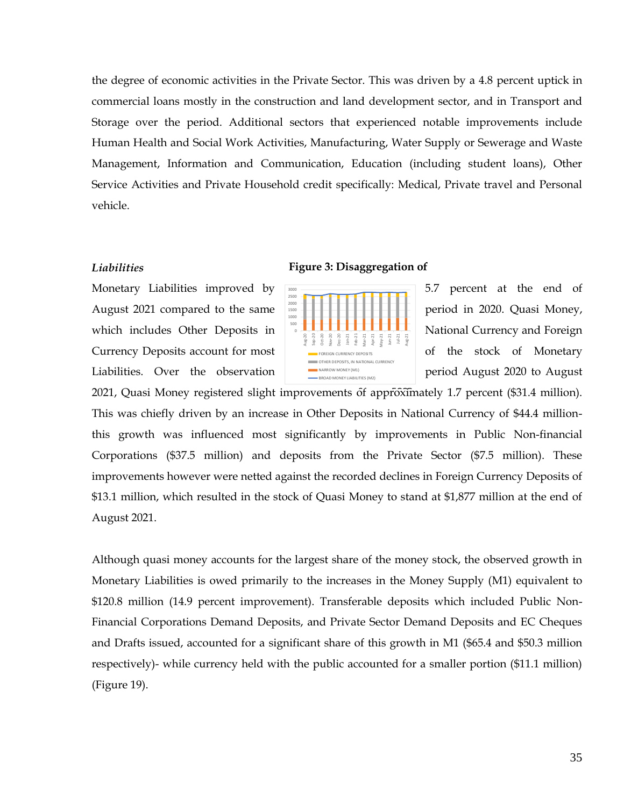the degree of economic activities in the Private Sector. This was driven by a 4.8 percent uptick in commercial loans mostly in the construction and land development sector, and in Transport and Storage over the period. Additional sectors that experienced notable improvements include Human Health and Social Work Activities, Manufacturing, Water Supply or Sewerage and Waste Management, Information and Communication, Education (including student loans), Other Service Activities and Private Household credit specifically: Medical, Private travel and Personal vehicle.

### *Liabilities*

Monetary Liabilities improved by 5.5 percent at the end of August 2021 compared to the same  $\Box$   $\Box$ which includes Other Deposits in National Currency and Foreign Currency Deposits account for most  $\overline{\phantom{a}}$  registered currency deposits and  $\overline{\phantom{a}}$  of the stock of Monetary Liabilities. Over the observation **Financial period August 2020** to August

#### **Figure 3: Disaggregation of**



2021, Quasi Money registered slight improvements of approximately 1.7 percent (\$31.4 million). This was chiefly driven by an increase in Other Deposits in National Currency of \$44.4 millionthis growth was influenced most significantly by improvements in Public Non-financial Corporations (\$37.5 million) and deposits from the Private Sector (\$7.5 million). These improvements however were netted against the recorded declines in Foreign Currency Deposits of \$13.1 million, which resulted in the stock of Quasi Money to stand at \$1,877 million at the end of August 2021.

Although quasi money accounts for the largest share of the money stock, the observed growth in Monetary Liabilities is owed primarily to the increases in the Money Supply (M1) equivalent to \$120.8 million (14.9 percent improvement). Transferable deposits which included Public Non-Financial Corporations Demand Deposits, and Private Sector Demand Deposits and EC Cheques and Drafts issued, accounted for a significant share of this growth in M1 (\$65.4 and \$50.3 million respectively)- while currency held with the public accounted for a smaller portion (\$11.1 million) (Figure 19).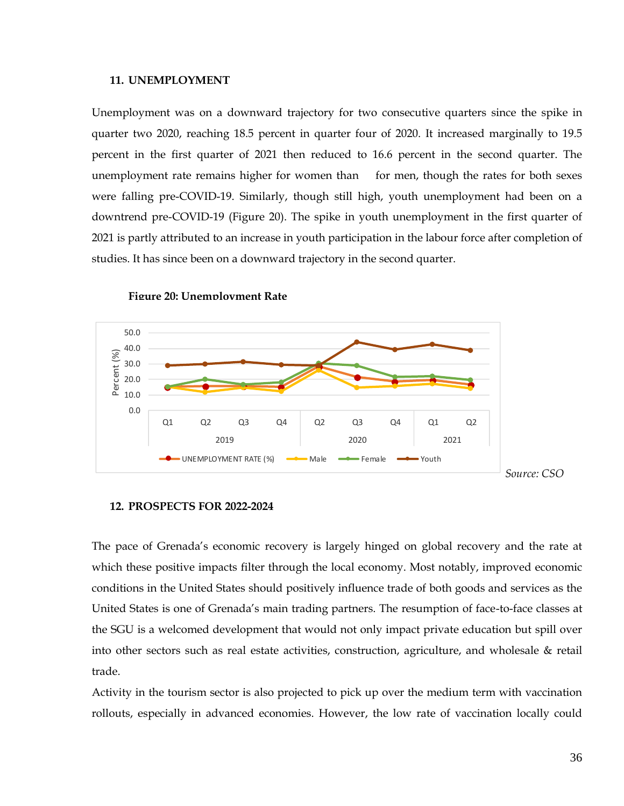#### <span id="page-35-0"></span>**11. UNEMPLOYMENT**

Unemployment was on a downward trajectory for two consecutive quarters since the spike in quarter two 2020, reaching 18.5 percent in quarter four of 2020. It increased marginally to 19.5 percent in the first quarter of 2021 then reduced to 16.6 percent in the second quarter. The unemployment rate remains higher for women than for men, though the rates for both sexes were falling pre-COVID-19. Similarly, though still high, youth unemployment had been on a downtrend pre-COVID-19 (Figure 20). The spike in youth unemployment in the first quarter of 2021 is partly attributed to an increase in youth participation in the labour force after completion of studies. It has since been on a downward trajectory in the second quarter.



**Figure 20: Unemployment Rate**

#### <span id="page-35-1"></span>**12. PROSPECTS FOR 2022-2024**

The pace of Grenada's economic recovery is largely hinged on global recovery and the rate at which these positive impacts filter through the local economy. Most notably, improved economic conditions in the United States should positively influence trade of both goods and services as the United States is one of Grenada's main trading partners. The resumption of face-to-face classes at the SGU is a welcomed development that would not only impact private education but spill over into other sectors such as real estate activities, construction, agriculture, and wholesale & retail trade.

Activity in the tourism sector is also projected to pick up over the medium term with vaccination rollouts, especially in advanced economies. However, the low rate of vaccination locally could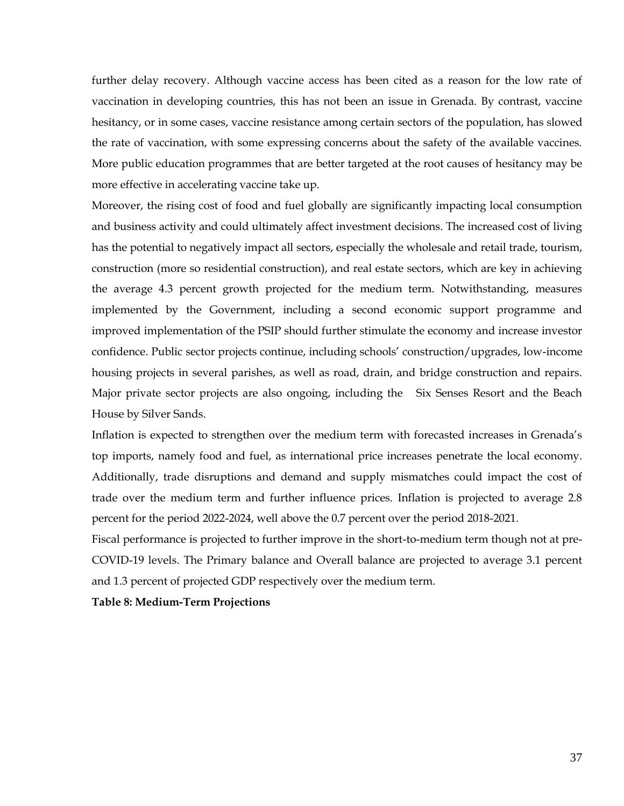further delay recovery. Although vaccine access has been cited as a reason for the low rate of vaccination in developing countries, this has not been an issue in Grenada. By contrast, vaccine hesitancy, or in some cases, vaccine resistance among certain sectors of the population, has slowed the rate of vaccination, with some expressing concerns about the safety of the available vaccines. More public education programmes that are better targeted at the root causes of hesitancy may be more effective in accelerating vaccine take up.

Moreover, the rising cost of food and fuel globally are significantly impacting local consumption and business activity and could ultimately affect investment decisions. The increased cost of living has the potential to negatively impact all sectors, especially the wholesale and retail trade, tourism, construction (more so residential construction), and real estate sectors, which are key in achieving the average 4.3 percent growth projected for the medium term. Notwithstanding, measures implemented by the Government, including a second economic support programme and improved implementation of the PSIP should further stimulate the economy and increase investor confidence. Public sector projects continue, including schools' construction/upgrades, low-income housing projects in several parishes, as well as road, drain, and bridge construction and repairs. Major private sector projects are also ongoing, including the Six Senses Resort and the Beach House by Silver Sands.

Inflation is expected to strengthen over the medium term with forecasted increases in Grenada's top imports, namely food and fuel, as international price increases penetrate the local economy. Additionally, trade disruptions and demand and supply mismatches could impact the cost of trade over the medium term and further influence prices. Inflation is projected to average 2.8 percent for the period 2022-2024, well above the 0.7 percent over the period 2018-2021.

Fiscal performance is projected to further improve in the short-to-medium term though not at pre-COVID-19 levels. The Primary balance and Overall balance are projected to average 3.1 percent and 1.3 percent of projected GDP respectively over the medium term.

**Table 8: Medium-Term Projections**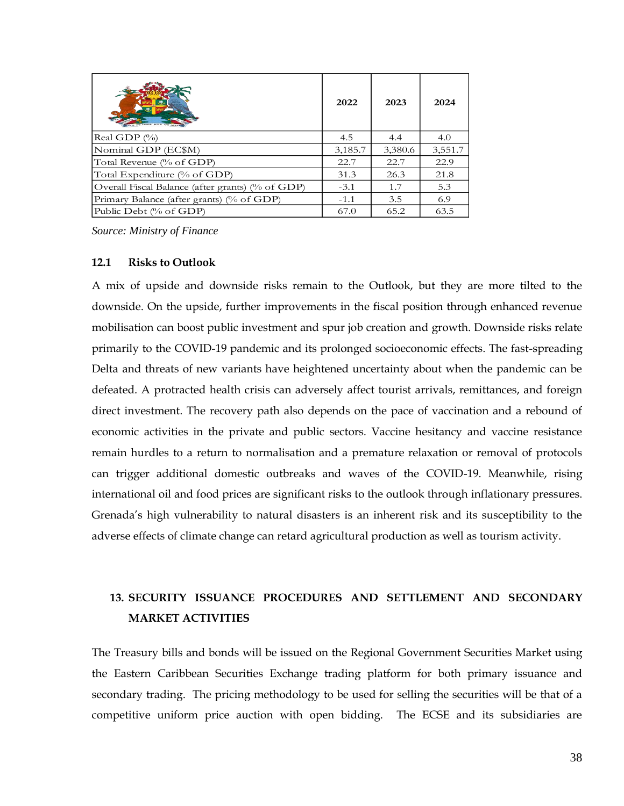|                                                  | 2022    | 2023    | 2024    |
|--------------------------------------------------|---------|---------|---------|
| Real GDP $(\%)$                                  | 4.5     | 4.4     | 4.0     |
| Nominal GDP (EC\$M)                              | 3,185.7 | 3,380.6 | 3,551.7 |
| Total Revenue (% of GDP)                         | 22.7    | 22.7    | 22.9    |
| Total Expenditure (% of GDP)                     | 31.3    | 26.3    | 21.8    |
| Overall Fiscal Balance (after grants) (% of GDP) | $-3.1$  | 1.7     | 5.3     |
| Primary Balance (after grants) (% of GDP)        | $-1.1$  | 3.5     | 6.9     |
| Public Debt (% of GDP)                           | 67.0    | 65.2    | 63.5    |

*Source: Ministry of Finance*

#### <span id="page-37-0"></span>**12.1 Risks to Outlook**

A mix of upside and downside risks remain to the Outlook, but they are more tilted to the downside. On the upside, further improvements in the fiscal position through enhanced revenue mobilisation can boost public investment and spur job creation and growth. Downside risks relate primarily to the COVID-19 pandemic and its prolonged socioeconomic effects. The fast-spreading Delta and threats of new variants have heightened uncertainty about when the pandemic can be defeated. A protracted health crisis can adversely affect tourist arrivals, remittances, and foreign direct investment. The recovery path also depends on the pace of vaccination and a rebound of economic activities in the private and public sectors. Vaccine hesitancy and vaccine resistance remain hurdles to a return to normalisation and a premature relaxation or removal of protocols can trigger additional domestic outbreaks and waves of the COVID-19. Meanwhile, rising international oil and food prices are significant risks to the outlook through inflationary pressures. Grenada's high vulnerability to natural disasters is an inherent risk and its susceptibility to the adverse effects of climate change can retard agricultural production as well as tourism activity.

# <span id="page-37-1"></span>**13. SECURITY ISSUANCE PROCEDURES AND SETTLEMENT AND SECONDARY MARKET ACTIVITIES**

The Treasury bills and bonds will be issued on the Regional Government Securities Market using the Eastern Caribbean Securities Exchange trading platform for both primary issuance and secondary trading. The pricing methodology to be used for selling the securities will be that of a competitive uniform price auction with open bidding. The ECSE and its subsidiaries are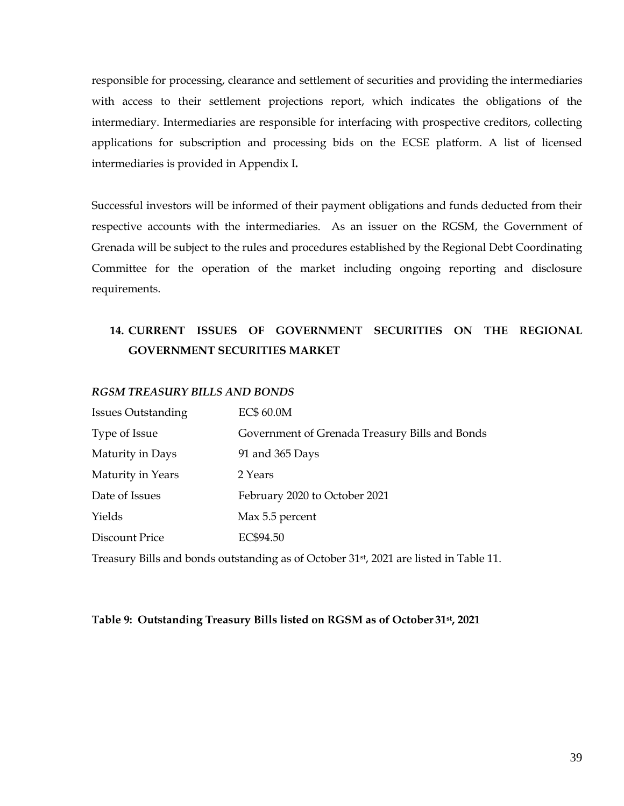responsible for processing, clearance and settlement of securities and providing the intermediaries with access to their settlement projections report, which indicates the obligations of the intermediary. Intermediaries are responsible for interfacing with prospective creditors, collecting applications for subscription and processing bids on the ECSE platform. A list of licensed intermediaries is provided in Appendix I**.**

Successful investors will be informed of their payment obligations and funds deducted from their respective accounts with the intermediaries. As an issuer on the RGSM, the Government of Grenada will be subject to the rules and procedures established by the Regional Debt Coordinating Committee for the operation of the market including ongoing reporting and disclosure requirements.

# <span id="page-38-0"></span>**14. CURRENT ISSUES OF GOVERNMENT SECURITIES ON THE REGIONAL GOVERNMENT SECURITIES MARKET**

# *RGSM TREASURY BILLS AND BONDS*

| <b>Issues Outstanding</b> | EC\$ 60.0M                                     |
|---------------------------|------------------------------------------------|
| Type of Issue             | Government of Grenada Treasury Bills and Bonds |
| Maturity in Days          | 91 and 365 Days                                |
| Maturity in Years         | 2 Years                                        |
| Date of Issues            | February 2020 to October 2021                  |
| Yields                    | Max 5.5 percent                                |
| Discount Price            | EC\$94.50                                      |

Treasury Bills and bonds outstanding as of October 31st, 2021 are listed in Table 11.

# **Table 9: Outstanding Treasury Bills listed on RGSM as of October 31st , 2021**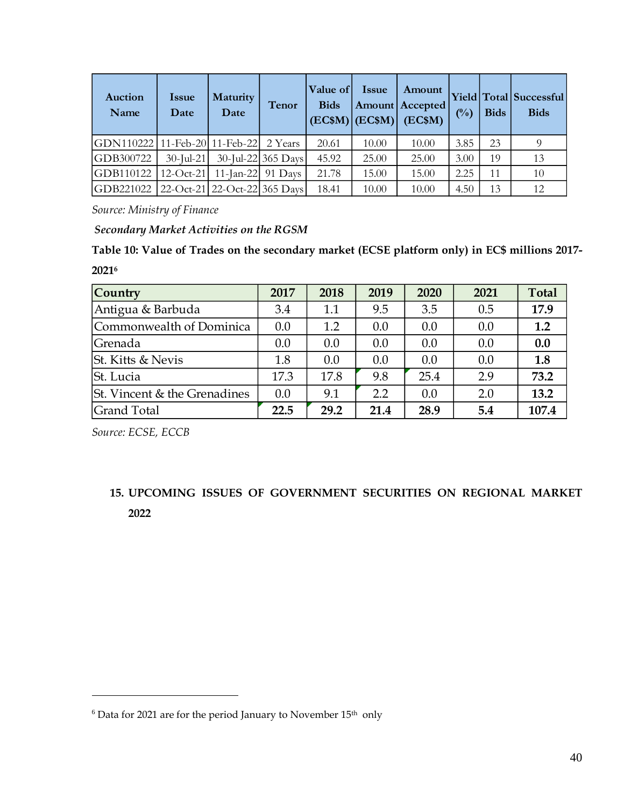| Auction<br>Name                       | <b>Issue</b><br>Date | <b>Maturity</b><br>Date         | <b>Tenor</b>       | Value of<br><b>Bids</b> | Issue<br>$ ECSM $ $ ECSM $ | Amount<br><b>Amount</b> Accepted<br>(EC\$M) | $($ %) | <b>Bids</b> | Yield Total Successful<br><b>Bids</b> |
|---------------------------------------|----------------------|---------------------------------|--------------------|-------------------------|----------------------------|---------------------------------------------|--------|-------------|---------------------------------------|
| GDN110222 11-Feb-20 11-Feb-22 2 Years |                      |                                 |                    | 20.61                   | 10.00                      | 10.00                                       | 3.85   | 23          | 9                                     |
| GDB300722                             | $30$ -Jul-21         |                                 | 30-Jul-22 365 Days | 45.92                   | 25.00                      | 25.00                                       | 3.00   | 19          | 13                                    |
| GDB110122                             |                      | 12-Oct-21   11-Jan-22   91 Days |                    | 21.78                   | 15.00                      | 15.00                                       | 2.25   | 11          | 10                                    |
| GDB221022                             |                      | 22-Oct-21 22-Oct-22 365 Days    |                    | 18.41                   | 10.00                      | 10.00                                       | 4.50   | 13          | 12                                    |

*Source: Ministry of Finance*

*Secondary Market Activities on the RGSM*

**Table 10: Value of Trades on the secondary market (ECSE platform only) in EC\$ millions 2017- 2021<sup>6</sup>**

| Country                             | 2017 | 2018 | 2019 | 2020 | 2021 | <b>Total</b> |
|-------------------------------------|------|------|------|------|------|--------------|
| Antigua & Barbuda                   | 3.4  | 1.1  | 9.5  | 3.5  | 0.5  | 17.9         |
| Commonwealth of Dominica            | 0.0  | 1.2  | 0.0  | 0.0  | 0.0  | 1.2          |
| Grenada                             | 0.0  | 0.0  | 0.0  | 0.0  | 0.0  | 0.0          |
| St. Kitts & Nevis                   | 1.8  | 0.0  | 0.0  | 0.0  | 0.0  | 1.8          |
| St. Lucia                           | 17.3 | 17.8 | 9.8  | 25.4 | 2.9  | 73.2         |
| <b>St.</b> Vincent & the Grenadines | 0.0  | 9.1  | 2.2  | 0.0  | 2.0  | 13.2         |
| <b>Grand Total</b>                  | 22.5 | 29.2 | 21.4 | 28.9 | 5.4  | 107.4        |

*Source: ECSE, ECCB*

<span id="page-39-0"></span>**15. UPCOMING ISSUES OF GOVERNMENT SECURITIES ON REGIONAL MARKET 2022**

 $^6$  Data for 2021 are for the period January to November  $15^{\rm th}$  only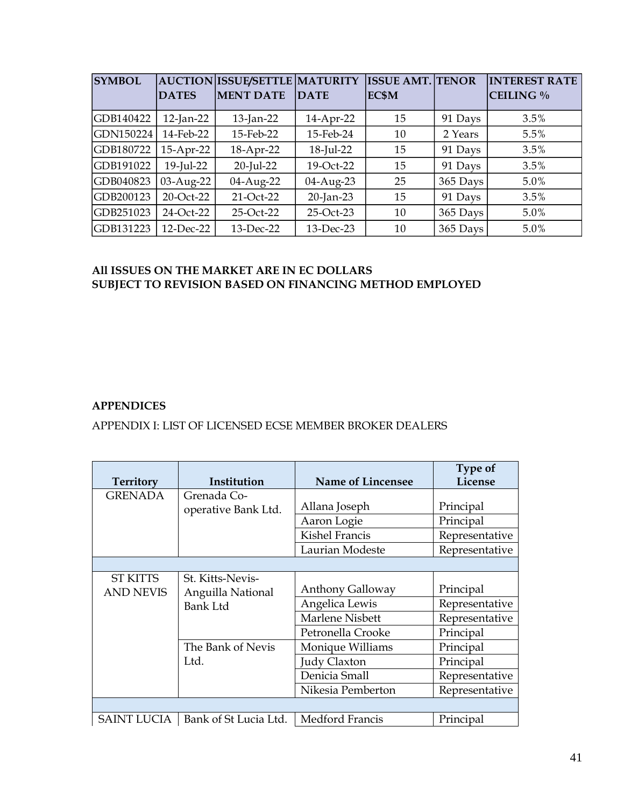| <b>SYMBOL</b> |              | <b>AUCTION ISSUE/SETTLE MATURITY</b> |             | <b>ISSUE AMT. TENOR</b> |          | <b>INTEREST RATE</b> |
|---------------|--------------|--------------------------------------|-------------|-------------------------|----------|----------------------|
|               | <b>DATES</b> | <b>MENT DATE</b>                     | <b>DATE</b> | EC\$M                   |          | CEILING %            |
| GDB140422     | $12$ -Jan-22 | $13$ -Jan-22                         | 14-Apr-22   | 15                      | 91 Days  | 3.5%                 |
| GDN150224     | 14-Feb-22    | 15-Feb-22                            | 15-Feb-24   | 10                      | 2 Years  | 5.5%                 |
| GDB180722     | 15-Apr-22    | 18-Apr-22                            | 18-Jul-22   | 15                      | 91 Days  | 3.5%                 |
| GDB191022     | $19$ -Jul-22 | $20$ -Jul-22                         | 19-Oct-22   | 15                      | 91 Days  | 3.5%                 |
| GDB040823     | 03-Aug-22    | 04-Aug-22                            | 04-Aug-23   | 25                      | 365 Days | 5.0%                 |
| GDB200123     | 20-Oct-22    | 21-Oct-22                            | 20-Jan-23   | 15                      | 91 Days  | 3.5%                 |
| GDB251023     | 24-Oct-22    | 25-Oct-22                            | 25-Oct-23   | 10                      | 365 Days | 5.0%                 |
| GDB131223     | 12-Dec-22    | 13-Dec-22                            | 13-Dec-23   | 10                      | 365 Days | 5.0%                 |

# **All ISSUES ON THE MARKET ARE IN EC DOLLARS SUBJECT TO REVISION BASED ON FINANCING METHOD EMPLOYED**

# <span id="page-40-0"></span>**APPENDICES**

# <span id="page-40-1"></span>APPENDIX I: LIST OF LICENSED ECSE MEMBER BROKER DEALERS

|                  |                       |                         | Type of        |
|------------------|-----------------------|-------------------------|----------------|
| <b>Territory</b> | Institution           | Name of Lincensee       | License        |
| <b>GRENADA</b>   | Grenada Co-           |                         |                |
|                  | operative Bank Ltd.   | Allana Joseph           | Principal      |
|                  |                       | Aaron Logie             | Principal      |
|                  |                       | <b>Kishel Francis</b>   | Representative |
|                  |                       | Laurian Modeste         | Representative |
|                  |                       |                         |                |
| <b>ST KITTS</b>  | St. Kitts-Nevis-      |                         |                |
| <b>AND NEVIS</b> | Anguilla National     | <b>Anthony Galloway</b> | Principal      |
|                  | <b>Bank Ltd</b>       | Angelica Lewis          | Representative |
|                  |                       | Marlene Nisbett         | Representative |
|                  |                       | Petronella Crooke       | Principal      |
|                  | The Bank of Nevis     | Monique Williams        | Principal      |
|                  | Ltd.                  | Judy Claxton            | Principal      |
|                  |                       | Denicia Small           | Representative |
|                  |                       | Nikesia Pemberton       | Representative |
|                  |                       |                         |                |
| SAINT LUCIA      | Bank of St Lucia Ltd. | Medford Francis         | Principal      |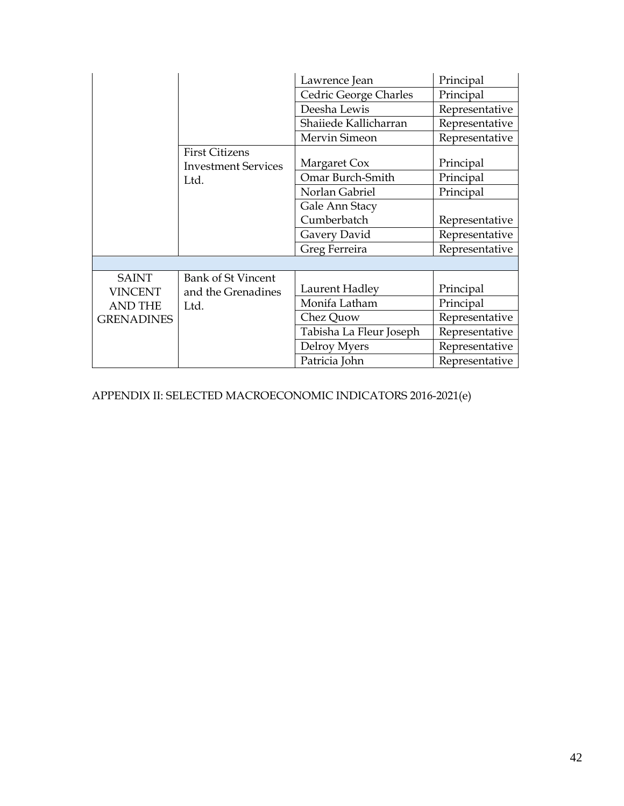|                   |                            | Lawrence Jean           | Principal      |
|-------------------|----------------------------|-------------------------|----------------|
|                   |                            | Cedric George Charles   | Principal      |
|                   |                            | Deesha Lewis            | Representative |
|                   |                            | Shaiiede Kallicharran   | Representative |
|                   |                            | Mervin Simeon           | Representative |
|                   | <b>First Citizens</b>      |                         |                |
|                   | <b>Investment Services</b> | Margaret Cox            | Principal      |
|                   | Ltd.                       | Omar Burch-Smith        | Principal      |
|                   |                            | Norlan Gabriel          | Principal      |
|                   |                            | Gale Ann Stacy          |                |
|                   |                            | Cumberbatch             | Representative |
|                   |                            | Gavery David            | Representative |
|                   |                            | Greg Ferreira           | Representative |
|                   |                            |                         |                |
| <b>SAINT</b>      | <b>Bank of St Vincent</b>  |                         |                |
| <b>VINCENT</b>    | and the Grenadines         | Laurent Hadley          | Principal      |
| <b>AND THE</b>    | Ltd.                       | Monifa Latham           | Principal      |
| <b>GRENADINES</b> |                            | Chez Quow               | Representative |
|                   |                            | Tabisha La Fleur Joseph | Representative |
|                   |                            | Delroy Myers            | Representative |
|                   |                            | Patricia John           | Representative |

<span id="page-41-0"></span>APPENDIX II: SELECTED MACROECONOMIC INDICATORS 2016-2021(e)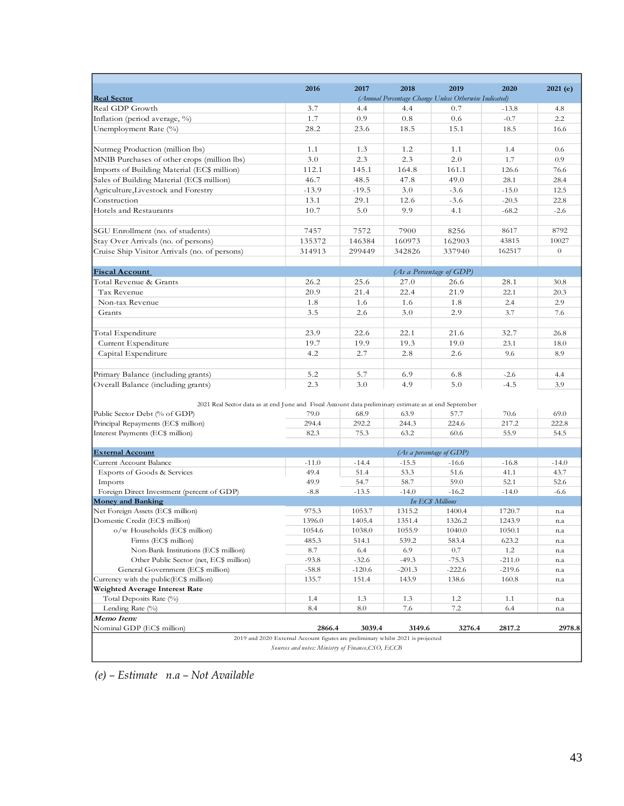|                                                                                                       | 2016    | 2017     | 2018                                | 2019                                                  | 2020     |          |
|-------------------------------------------------------------------------------------------------------|---------|----------|-------------------------------------|-------------------------------------------------------|----------|----------|
| <b>Real Sector</b>                                                                                    |         |          |                                     | (Annual Percentage Change Unless Otherwise Indicated) |          | 2021(e)  |
| Real GDP Growth                                                                                       | 3.7     | 4.4      | 4.4                                 | 0.7                                                   | $-13.8$  | 4.8      |
| Inflation (period average, %)                                                                         | 1.7     | 0.9      | 0.8                                 | 0.6                                                   | $-0.7$   | 2.2      |
| Unemployment Rate (%)                                                                                 | 28.2    | 23.6     | 18.5                                | 15.1                                                  | 18.5     | 16.6     |
|                                                                                                       |         |          |                                     |                                                       |          |          |
| Nutmeg Production (million lbs)                                                                       | 1.1     | 1.3      | 1.2                                 | 1.1                                                   | 1.4      | 0.6      |
| MNIB Purchases of other crops (million lbs)                                                           | 3.0     | 2.3      | 2.3                                 | 2.0                                                   | 1.7      | 0.9      |
| Imports of Building Material (EC\$ million)                                                           | 112.1   | 145.1    | 164.8                               | 161.1                                                 | 126.6    | 76.6     |
| Sales of Building Material (EC\$ million)                                                             | 46.7    | 48.5     | 47.8                                | 49.0                                                  | 28.1     | 28.4     |
| Agriculture, Livestock and Forestry                                                                   | $-13.9$ | $-19.5$  | 3.0                                 | $-3.6$                                                | $-15.0$  | 12.5     |
| Construction                                                                                          | 13.1    | 29.1     | 12.6                                | $-3.6$                                                | $-20.5$  | 22.8     |
| Hotels and Restaurants                                                                                | 10.7    | 5.0      | 9.9                                 | 4.1                                                   | $-68.2$  | $-2.6$   |
|                                                                                                       |         |          |                                     |                                                       |          |          |
| SGU Enrollment (no. of students)                                                                      | 7457    | 7572     | 7900                                | 8256                                                  | 8617     | 8792     |
| Stay Over Arrivals (no. of persons)                                                                   | 135372  | 146384   | 160973                              | 162903                                                | 43815    | 10027    |
| Cruise Ship Visitor Arrivals (no. of persons)                                                         | 314913  | 299449   | 342826                              | 337940                                                | 162517   | $\sigma$ |
| <b>Fiscal Account</b>                                                                                 |         |          | (As a Percentage of GDP)            |                                                       |          |          |
| Total Revenue & Grants                                                                                | 26.2    | 25.6     | 27.0                                | 26.6                                                  | 28.1     | 30.8     |
| Tax Revenue                                                                                           | 20.9    | 21.4     | 22.4                                | 21.9                                                  | 22.1     | 20.3     |
| Non-tax Revenue                                                                                       | 1.8     | 1.6      | 1.6                                 | 1.8                                                   | 2.4      | 2.9      |
| Grants                                                                                                | 3.5     | 2.6      | 3.0                                 | 2.9                                                   | 3.7      | 7.6      |
|                                                                                                       |         |          |                                     |                                                       |          |          |
| Total Expenditure                                                                                     | 23.9    | 22.6     | 22.1                                | 21.6                                                  | 32.7     | 26.8     |
| Current Expenditure                                                                                   | 19.7    | 19.9     | 19.3                                | 19.0                                                  | 23.1     | 18.0     |
| Capital Expenditure                                                                                   | 4.2     | 2.7      | 2.8                                 | 2.6                                                   | 9.6      | 8.9      |
|                                                                                                       |         |          |                                     |                                                       |          |          |
| Primary Balance (including grants)                                                                    | 5.2     | 5.7      | 6.9                                 | 6.8                                                   | $-2.6$   | 4.4      |
| Overall Balance (including grants)                                                                    | 2.3     | 3.0      | 4.9                                 | 5.0                                                   | $-4.5$   | 3.9      |
|                                                                                                       |         |          |                                     |                                                       |          |          |
| 2021 Real Sector data as at end June and Fiscal Account data preliminary estimate as at end September |         |          |                                     |                                                       |          |          |
| Public Sector Debt (% of GDP)                                                                         | 79.0    | 68.9     | 63.9                                | 57.7                                                  | 70.6     | 69.0     |
| Principal Repayments (EC\$ million)                                                                   | 294.4   | 292.2    | 244.3                               | 224.6                                                 | 217.2    | 222.8    |
| Interest Payments (EC\$ million)                                                                      | 82.3    | 75.3     | 63.2                                | 60.6                                                  | 55.9     | 54.5     |
|                                                                                                       |         |          |                                     |                                                       |          |          |
| <b>External Account</b><br><b>Current Account Balance</b>                                             | $-11.0$ | $-14.4$  | (As a percentage of GDP)<br>$-15.5$ | $-16.6$                                               | $-16.8$  | $-14.0$  |
| Exports of Goods & Services                                                                           | 49.4    | 51.4     | 53.3                                | 51.6                                                  | 41.1     | 43.7     |
| Imports                                                                                               | 49.9    | 54.7     | 58.7                                | 59.0                                                  | 52.1     | 52.6     |
| Foreign Direct Investment (percent of GDP)                                                            | $-8.8$  | $-13.5$  | $-14.0$                             | $-16.2$                                               | $-14.0$  | $-6.6$   |
| <b>Money and Banking</b>                                                                              |         |          | <b>In ECS Millions</b>              |                                                       |          |          |
| Net Foreign Assets (EC\$ million)                                                                     | 975.3   | 1053.7   | 1315.2                              | 1400.4                                                | 1720.7   | n.a      |
| Domestic Credit (EC\$ million)                                                                        | 1396.0  | 1405.4   | 1351.4                              | 1326.2                                                | 1243.9   | n.a      |
| $\mathrm{o}/\mathrm{w}$ Households (EC\$ million)                                                     | 1054.6  | 1038.0   | 1055.9                              | 1040.0                                                | 1050.1   | n.a      |
| Firms (EC\$ million)                                                                                  | 485.3   | 514.1    | 539.2                               | 583.4                                                 | 623.2    | n.a      |
| Non-Bank Institutions (EC\$ million)                                                                  | 8.7     | 6.4      | 6.9                                 | 0.7                                                   | 1.2      | n.a      |
| Other Public Sector (net, EC\$ million)                                                               | $-93.8$ | $-32.6$  | $-49.3$                             | $-75.3$                                               | $-211.0$ | n.a      |
| General Government (EC\$ million)                                                                     | $-58.8$ | $-120.6$ | $-201.3$                            | $-222.6$                                              | $-219.6$ | n.a      |
| Currency with the public(EC\$ million)                                                                | 135.7   | 151.4    | 143.9                               | 138.6                                                 | 160.8    | n.a      |
| Weighted Average Interest Rate                                                                        |         |          |                                     |                                                       |          |          |
| Total Deposits Rate (%)                                                                               | 1.4     | 1.3      | 1.3                                 | 1.2                                                   | 1.1      | n.a      |
| Lending Rate $(\%)$                                                                                   | 8.4     | 8.0      | 7.6                                 | 7.2                                                   | 6.4      | n.a      |
| Memo Item:                                                                                            |         |          |                                     |                                                       |          |          |
| Nominal GDP (EC\$ million)                                                                            | 2866.4  | 3039.4   | 3149.6                              | 3276.4                                                | 2817.2   | 2978.8   |

*Sources and notes: Ministry of Finance,CSO, ECCB*

*(e) – Estimate n.a – Not Available*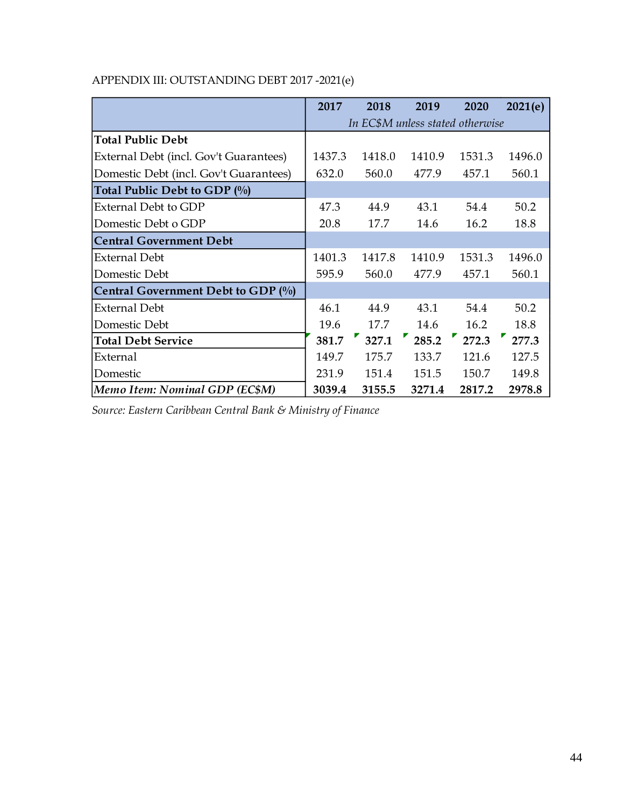|                                        | 2017                             | 2018   | 2019   | 2020   | 2021(e) |  |
|----------------------------------------|----------------------------------|--------|--------|--------|---------|--|
|                                        | In EC\$M unless stated otherwise |        |        |        |         |  |
| <b>Total Public Debt</b>               |                                  |        |        |        |         |  |
| External Debt (incl. Gov't Guarantees) | 1437.3                           | 1418.0 | 1410.9 | 1531.3 | 1496.0  |  |
| Domestic Debt (incl. Gov't Guarantees) | 632.0                            | 560.0  | 477.9  | 457.1  | 560.1   |  |
| Total Public Debt to GDP (%)           |                                  |        |        |        |         |  |
| External Debt to GDP                   | 47.3                             | 44.9   | 43.1   | 54.4   | 50.2    |  |
| Domestic Debt o GDP                    | 20.8                             | 17.7   | 14.6   | 16.2   | 18.8    |  |
| <b>Central Government Debt</b>         |                                  |        |        |        |         |  |
| <b>External Debt</b>                   | 1401.3                           | 1417.8 | 1410.9 | 1531.3 | 1496.0  |  |
| Domestic Debt                          | 595.9                            | 560.0  | 477.9  | 457.1  | 560.1   |  |
| Central Government Debt to GDP $(\%)$  |                                  |        |        |        |         |  |
| <b>External Debt</b>                   | 46.1                             | 44.9   | 43.1   | 54.4   | 50.2    |  |
| Domestic Debt                          | 19.6                             | 17.7   | 14.6   | 16.2   | 18.8    |  |
| <b>Total Debt Service</b>              | 381.7                            | 327.1  | 285.2  | 272.3  | 277.3   |  |
| External                               | 149.7                            | 175.7  | 133.7  | 121.6  | 127.5   |  |
| Domestic                               | 231.9                            | 151.4  | 151.5  | 150.7  | 149.8   |  |
| Memo Item: Nominal GDP (EC\$M)         | 3039.4                           | 3155.5 | 3271.4 | 2817.2 | 2978.8  |  |

# <span id="page-43-0"></span>APPENDIX III: OUTSTANDING DEBT 2017 -2021(e)

*Source: Eastern Caribbean Central Bank & Ministry of Finance*